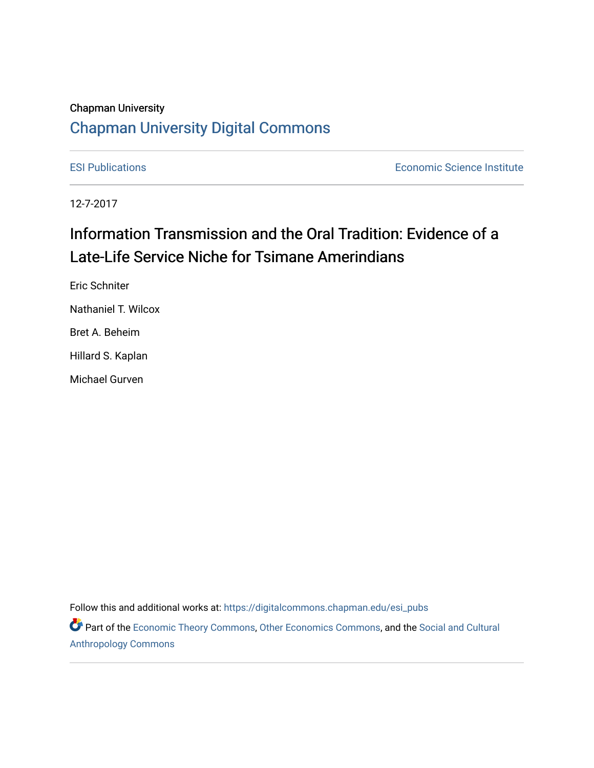# Chapman University

# [Chapman University Digital Commons](https://digitalcommons.chapman.edu/)

[ESI Publications](https://digitalcommons.chapman.edu/esi_pubs) [Economic Science Institute](https://digitalcommons.chapman.edu/esi) 

12-7-2017

# Information Transmission and the Oral Tradition: Evidence of a Late-Life Service Niche for Tsimane Amerindians

Eric Schniter Nathaniel T. Wilcox Bret A. Beheim Hillard S. Kaplan Michael Gurven

Follow this and additional works at: [https://digitalcommons.chapman.edu/esi\\_pubs](https://digitalcommons.chapman.edu/esi_pubs?utm_source=digitalcommons.chapman.edu%2Fesi_pubs%2F279&utm_medium=PDF&utm_campaign=PDFCoverPages) 

Part of the [Economic Theory Commons](http://network.bepress.com/hgg/discipline/344?utm_source=digitalcommons.chapman.edu%2Fesi_pubs%2F279&utm_medium=PDF&utm_campaign=PDFCoverPages), [Other Economics Commons](http://network.bepress.com/hgg/discipline/353?utm_source=digitalcommons.chapman.edu%2Fesi_pubs%2F279&utm_medium=PDF&utm_campaign=PDFCoverPages), and the [Social and Cultural](http://network.bepress.com/hgg/discipline/323?utm_source=digitalcommons.chapman.edu%2Fesi_pubs%2F279&utm_medium=PDF&utm_campaign=PDFCoverPages) [Anthropology Commons](http://network.bepress.com/hgg/discipline/323?utm_source=digitalcommons.chapman.edu%2Fesi_pubs%2F279&utm_medium=PDF&utm_campaign=PDFCoverPages)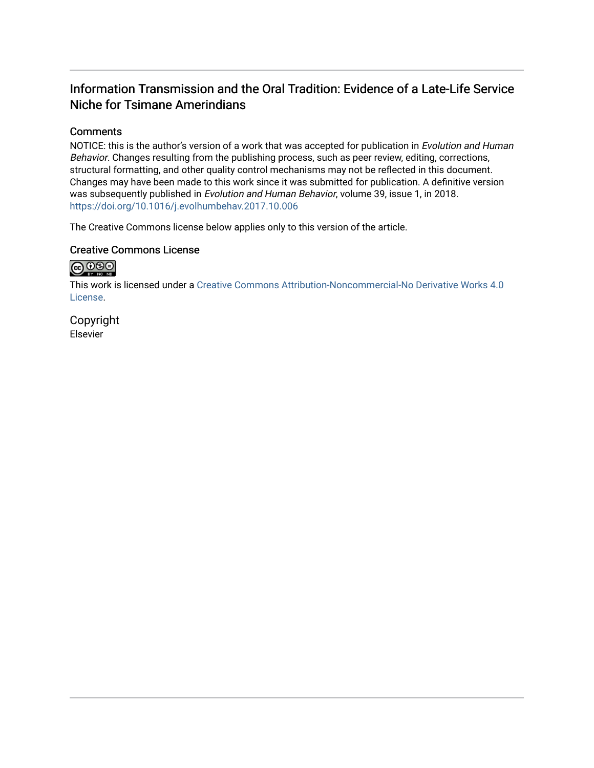# Information Transmission and the Oral Tradition: Evidence of a Late-Life Service Niche for Tsimane Amerindians

# **Comments**

NOTICE: this is the author's version of a work that was accepted for publication in Evolution and Human Behavior. Changes resulting from the publishing process, such as peer review, editing, corrections, structural formatting, and other quality control mechanisms may not be reflected in this document. Changes may have been made to this work since it was submitted for publication. A definitive version was subsequently published in Evolution and Human Behavior, volume 39, issue 1, in 2018. <https://doi.org/10.1016/j.evolhumbehav.2017.10.006>

The Creative Commons license below applies only to this version of the article.

# Creative Commons License



This work is licensed under a [Creative Commons Attribution-Noncommercial-No Derivative Works 4.0](https://creativecommons.org/licenses/by-nc-nd/4.0/) [License](https://creativecommons.org/licenses/by-nc-nd/4.0/).

Copyright Elsevier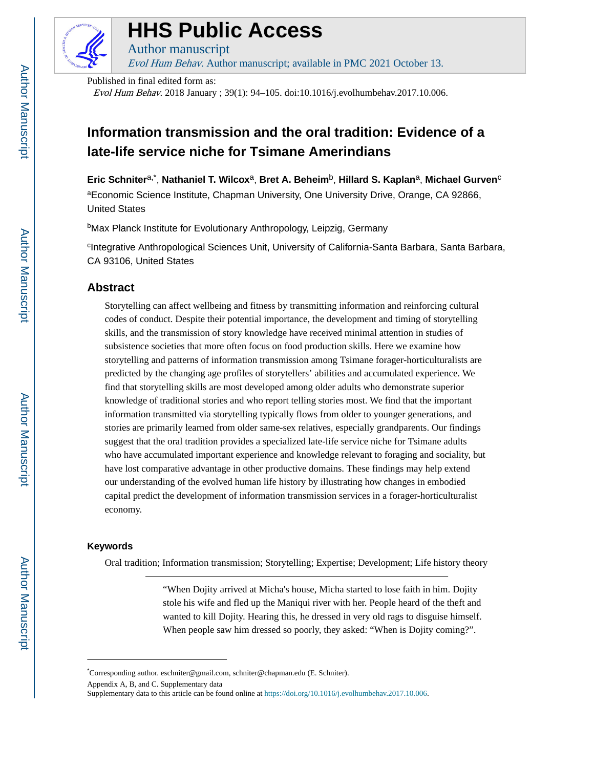

# **HHS Public Access**

Author manuscript Evol Hum Behav. Author manuscript; available in PMC 2021 October 13.

Published in final edited form as:

Evol Hum Behav. 2018 January ; 39(1): 94–105. doi:10.1016/j.evolhumbehav.2017.10.006.

# **Information transmission and the oral tradition: Evidence of a late-life service niche for Tsimane Amerindians**

**Eric Schniter**a,\* , **Nathaniel T. Wilcox**a, **Bret A. Beheim**b, **Hillard S. Kaplan**a, **Michael Gurven**<sup>c</sup> aEconomic Science Institute, Chapman University, One University Drive, Orange, CA 92866, United States

<sup>b</sup>Max Planck Institute for Evolutionary Anthropology, Leipzig, Germany

<sup>c</sup>Integrative Anthropological Sciences Unit, University of California-Santa Barbara, Santa Barbara, CA 93106, United States

# **Abstract**

Storytelling can affect wellbeing and fitness by transmitting information and reinforcing cultural codes of conduct. Despite their potential importance, the development and timing of storytelling skills, and the transmission of story knowledge have received minimal attention in studies of subsistence societies that more often focus on food production skills. Here we examine how storytelling and patterns of information transmission among Tsimane forager-horticulturalists are predicted by the changing age profiles of storytellers' abilities and accumulated experience. We find that storytelling skills are most developed among older adults who demonstrate superior knowledge of traditional stories and who report telling stories most. We find that the important information transmitted via storytelling typically flows from older to younger generations, and stories are primarily learned from older same-sex relatives, especially grandparents. Our findings suggest that the oral tradition provides a specialized late-life service niche for Tsimane adults who have accumulated important experience and knowledge relevant to foraging and sociality, but have lost comparative advantage in other productive domains. These findings may help extend our understanding of the evolved human life history by illustrating how changes in embodied capital predict the development of information transmission services in a forager-horticulturalist economy.

## **Keywords**

Oral tradition; Information transmission; Storytelling; Expertise; Development; Life history theory

"When Dojity arrived at Micha's house, Micha started to lose faith in him. Dojity stole his wife and fled up the Maniqui river with her. People heard of the theft and wanted to kill Dojity. Hearing this, he dressed in very old rags to disguise himself. When people saw him dressed so poorly, they asked: "When is Dojity coming?".

Appendix A, B, and C. Supplementary data

<sup>\*</sup>Corresponding author. eschniter@gmail.com, schniter@chapman.edu (E. Schniter).

Supplementary data to this article can be found online at https://doi.org/10.1016/j.evolhumbehav.2017.10.006.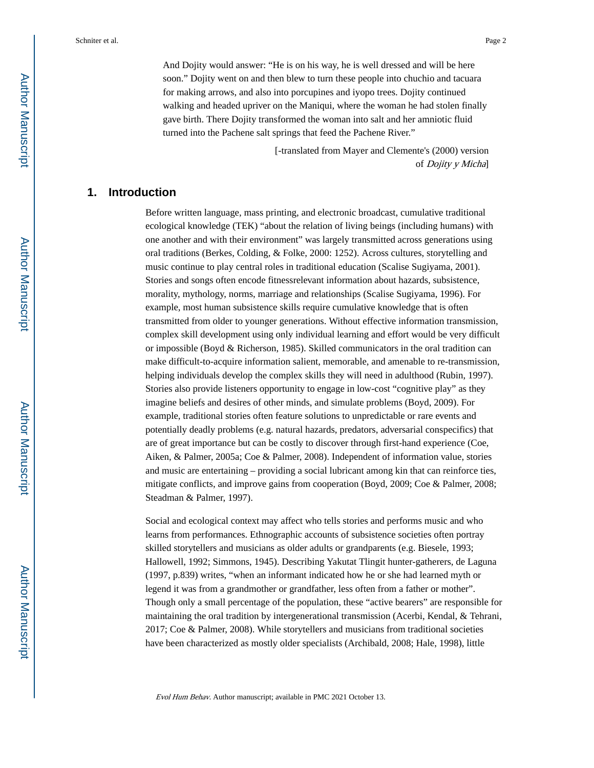And Dojity would answer: "He is on his way, he is well dressed and will be here soon." Dojity went on and then blew to turn these people into chuchio and tacuara for making arrows, and also into porcupines and iyopo trees. Dojity continued walking and headed upriver on the Maniqui, where the woman he had stolen finally gave birth. There Dojity transformed the woman into salt and her amniotic fluid

turned into the Pachene salt springs that feed the Pachene River."

[-translated from Mayer and Clemente's (2000) version of Dojity y Micha]

# **1. Introduction**

Before written language, mass printing, and electronic broadcast, cumulative traditional ecological knowledge (TEK) "about the relation of living beings (including humans) with one another and with their environment" was largely transmitted across generations using oral traditions (Berkes, Colding, & Folke, 2000: 1252). Across cultures, storytelling and music continue to play central roles in traditional education (Scalise Sugiyama, 2001). Stories and songs often encode fitnessrelevant information about hazards, subsistence, morality, mythology, norms, marriage and relationships (Scalise Sugiyama, 1996). For example, most human subsistence skills require cumulative knowledge that is often transmitted from older to younger generations. Without effective information transmission, complex skill development using only individual learning and effort would be very difficult or impossible (Boyd & Richerson, 1985). Skilled communicators in the oral tradition can make difficult-to-acquire information salient, memorable, and amenable to re-transmission, helping individuals develop the complex skills they will need in adulthood (Rubin, 1997). Stories also provide listeners opportunity to engage in low-cost "cognitive play" as they imagine beliefs and desires of other minds, and simulate problems (Boyd, 2009). For example, traditional stories often feature solutions to unpredictable or rare events and potentially deadly problems (e.g. natural hazards, predators, adversarial conspecifics) that are of great importance but can be costly to discover through first-hand experience (Coe, Aiken, & Palmer, 2005a; Coe & Palmer, 2008). Independent of information value, stories and music are entertaining – providing a social lubricant among kin that can reinforce ties, mitigate conflicts, and improve gains from cooperation (Boyd, 2009; Coe & Palmer, 2008; Steadman & Palmer, 1997).

Social and ecological context may affect who tells stories and performs music and who learns from performances. Ethnographic accounts of subsistence societies often portray skilled storytellers and musicians as older adults or grandparents (e.g. Biesele, 1993; Hallowell, 1992; Simmons, 1945). Describing Yakutat Tlingit hunter-gatherers, de Laguna (1997, p.839) writes, "when an informant indicated how he or she had learned myth or legend it was from a grandmother or grandfather, less often from a father or mother". Though only a small percentage of the population, these "active bearers" are responsible for maintaining the oral tradition by intergenerational transmission (Acerbi, Kendal, & Tehrani, 2017; Coe & Palmer, 2008). While storytellers and musicians from traditional societies have been characterized as mostly older specialists (Archibald, 2008; Hale, 1998), little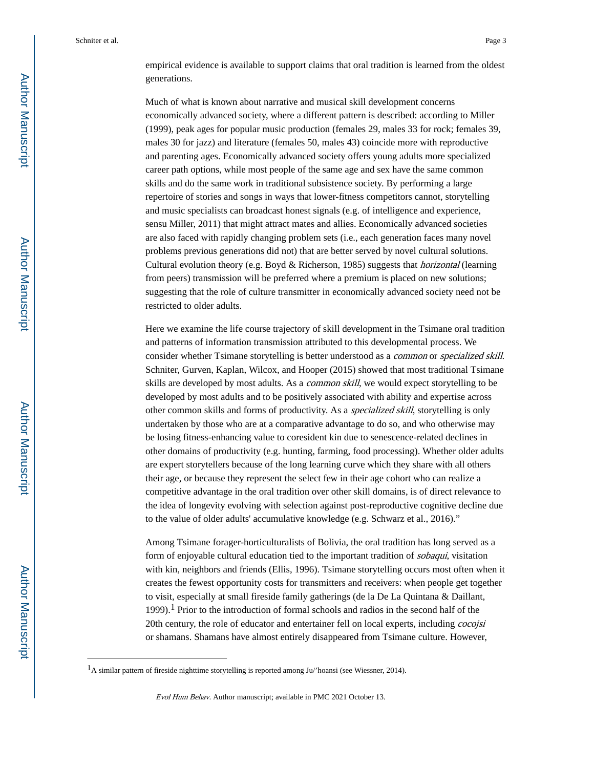empirical evidence is available to support claims that oral tradition is learned from the oldest generations.

Much of what is known about narrative and musical skill development concerns economically advanced society, where a different pattern is described: according to Miller (1999), peak ages for popular music production (females 29, males 33 for rock; females 39, males 30 for jazz) and literature (females 50, males 43) coincide more with reproductive and parenting ages. Economically advanced society offers young adults more specialized career path options, while most people of the same age and sex have the same common skills and do the same work in traditional subsistence society. By performing a large repertoire of stories and songs in ways that lower-fitness competitors cannot, storytelling and music specialists can broadcast honest signals (e.g. of intelligence and experience, sensu Miller, 2011) that might attract mates and allies. Economically advanced societies are also faced with rapidly changing problem sets (i.e., each generation faces many novel problems previous generations did not) that are better served by novel cultural solutions. Cultural evolution theory (e.g. Boyd & Richerson, 1985) suggests that horizontal (learning from peers) transmission will be preferred where a premium is placed on new solutions; suggesting that the role of culture transmitter in economically advanced society need not be restricted to older adults.

Here we examine the life course trajectory of skill development in the Tsimane oral tradition and patterns of information transmission attributed to this developmental process. We consider whether Tsimane storytelling is better understood as a common or specialized skill. Schniter, Gurven, Kaplan, Wilcox, and Hooper (2015) showed that most traditional Tsimane skills are developed by most adults. As a common skill, we would expect storytelling to be developed by most adults and to be positively associated with ability and expertise across other common skills and forms of productivity. As a specialized skill, storytelling is only undertaken by those who are at a comparative advantage to do so, and who otherwise may be losing fitness-enhancing value to coresident kin due to senescence-related declines in other domains of productivity (e.g. hunting, farming, food processing). Whether older adults are expert storytellers because of the long learning curve which they share with all others their age, or because they represent the select few in their age cohort who can realize a competitive advantage in the oral tradition over other skill domains, is of direct relevance to the idea of longevity evolving with selection against post-reproductive cognitive decline due to the value of older adults' accumulative knowledge (e.g. Schwarz et al., 2016)."

Among Tsimane forager-horticulturalists of Bolivia, the oral tradition has long served as a form of enjoyable cultural education tied to the important tradition of *sobaqui*, visitation with kin, neighbors and friends (Ellis, 1996). Tsimane storytelling occurs most often when it creates the fewest opportunity costs for transmitters and receivers: when people get together to visit, especially at small fireside family gatherings (de la De La Quintana & Daillant, 1999).1 Prior to the introduction of formal schools and radios in the second half of the 20th century, the role of educator and entertainer fell on local experts, including *cocojsi* or shamans. Shamans have almost entirely disappeared from Tsimane culture. However,

<sup>1</sup>A similar pattern of fireside nighttime storytelling is reported among Ju/'hoansi (see Wiessner, 2014).

Evol Hum Behav. Author manuscript; available in PMC 2021 October 13.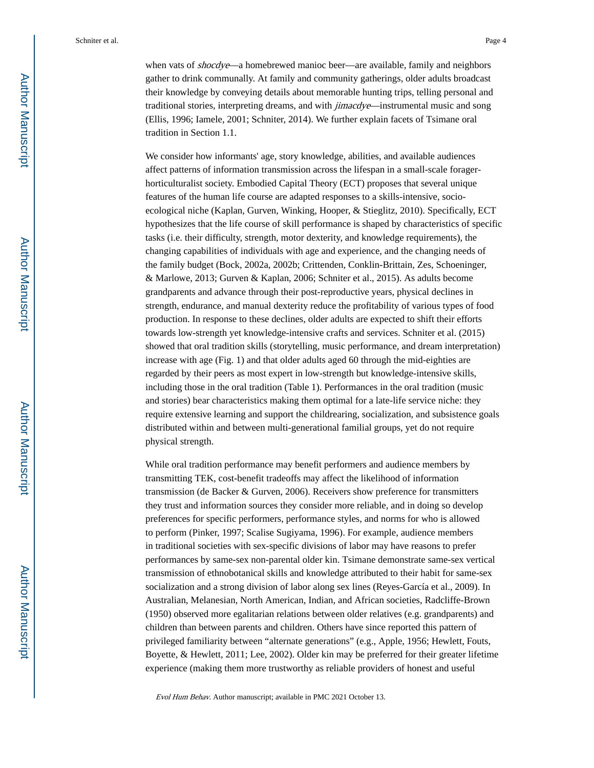when vats of *shocdye*—a homebrewed manioc beer—are available, family and neighbors gather to drink communally. At family and community gatherings, older adults broadcast their knowledge by conveying details about memorable hunting trips, telling personal and traditional stories, interpreting dreams, and with jimacdye—instrumental music and song (Ellis, 1996; Iamele, 2001; Schniter, 2014). We further explain facets of Tsimane oral tradition in Section 1.1.

We consider how informants' age, story knowledge, abilities, and available audiences affect patterns of information transmission across the lifespan in a small-scale foragerhorticulturalist society. Embodied Capital Theory (ECT) proposes that several unique features of the human life course are adapted responses to a skills-intensive, socioecological niche (Kaplan, Gurven, Winking, Hooper, & Stieglitz, 2010). Specifically, ECT hypothesizes that the life course of skill performance is shaped by characteristics of specific tasks (i.e. their difficulty, strength, motor dexterity, and knowledge requirements), the changing capabilities of individuals with age and experience, and the changing needs of the family budget (Bock, 2002a, 2002b; Crittenden, Conklin-Brittain, Zes, Schoeninger, & Marlowe, 2013; Gurven & Kaplan, 2006; Schniter et al., 2015). As adults become grandparents and advance through their post-reproductive years, physical declines in strength, endurance, and manual dexterity reduce the profitability of various types of food production. In response to these declines, older adults are expected to shift their efforts towards low-strength yet knowledge-intensive crafts and services. Schniter et al. (2015) showed that oral tradition skills (storytelling, music performance, and dream interpretation) increase with age (Fig. 1) and that older adults aged 60 through the mid-eighties are regarded by their peers as most expert in low-strength but knowledge-intensive skills, including those in the oral tradition (Table 1). Performances in the oral tradition (music and stories) bear characteristics making them optimal for a late-life service niche: they require extensive learning and support the childrearing, socialization, and subsistence goals distributed within and between multi-generational familial groups, yet do not require physical strength.

While oral tradition performance may benefit performers and audience members by transmitting TEK, cost-benefit tradeoffs may affect the likelihood of information transmission (de Backer & Gurven, 2006). Receivers show preference for transmitters they trust and information sources they consider more reliable, and in doing so develop preferences for specific performers, performance styles, and norms for who is allowed to perform (Pinker, 1997; Scalise Sugiyama, 1996). For example, audience members in traditional societies with sex-specific divisions of labor may have reasons to prefer performances by same-sex non-parental older kin. Tsimane demonstrate same-sex vertical transmission of ethnobotanical skills and knowledge attributed to their habit for same-sex socialization and a strong division of labor along sex lines (Reyes-García et al., 2009). In Australian, Melanesian, North American, Indian, and African societies, Radcliffe-Brown (1950) observed more egalitarian relations between older relatives (e.g. grandparents) and children than between parents and children. Others have since reported this pattern of privileged familiarity between "alternate generations" (e.g., Apple, 1956; Hewlett, Fouts, Boyette, & Hewlett, 2011; Lee, 2002). Older kin may be preferred for their greater lifetime experience (making them more trustworthy as reliable providers of honest and useful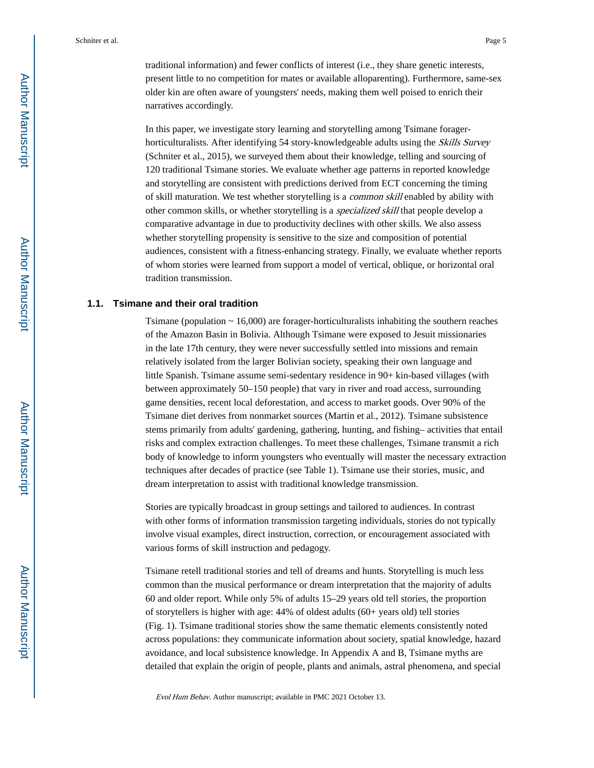traditional information) and fewer conflicts of interest (i.e., they share genetic interests, present little to no competition for mates or available alloparenting). Furthermore, same-sex older kin are often aware of youngsters' needs, making them well poised to enrich their narratives accordingly.

In this paper, we investigate story learning and storytelling among Tsimane foragerhorticulturalists. After identifying 54 story-knowledgeable adults using the Skills Survey (Schniter et al., 2015), we surveyed them about their knowledge, telling and sourcing of 120 traditional Tsimane stories. We evaluate whether age patterns in reported knowledge and storytelling are consistent with predictions derived from ECT concerning the timing of skill maturation. We test whether storytelling is a common skill enabled by ability with other common skills, or whether storytelling is a specialized skill that people develop a comparative advantage in due to productivity declines with other skills. We also assess whether storytelling propensity is sensitive to the size and composition of potential audiences, consistent with a fitness-enhancing strategy. Finally, we evaluate whether reports of whom stories were learned from support a model of vertical, oblique, or horizontal oral tradition transmission.

#### **1.1. Tsimane and their oral tradition**

Tsimane (population  $\sim$  16,000) are forager-horticulturalists inhabiting the southern reaches of the Amazon Basin in Bolivia. Although Tsimane were exposed to Jesuit missionaries in the late 17th century, they were never successfully settled into missions and remain relatively isolated from the larger Bolivian society, speaking their own language and little Spanish. Tsimane assume semi-sedentary residence in 90+ kin-based villages (with between approximately 50–150 people) that vary in river and road access, surrounding game densities, recent local deforestation, and access to market goods. Over 90% of the Tsimane diet derives from nonmarket sources (Martin et al., 2012). Tsimane subsistence stems primarily from adults' gardening, gathering, hunting, and fishing– activities that entail risks and complex extraction challenges. To meet these challenges, Tsimane transmit a rich body of knowledge to inform youngsters who eventually will master the necessary extraction techniques after decades of practice (see Table 1). Tsimane use their stories, music, and dream interpretation to assist with traditional knowledge transmission.

Stories are typically broadcast in group settings and tailored to audiences. In contrast with other forms of information transmission targeting individuals, stories do not typically involve visual examples, direct instruction, correction, or encouragement associated with various forms of skill instruction and pedagogy.

Tsimane retell traditional stories and tell of dreams and hunts. Storytelling is much less common than the musical performance or dream interpretation that the majority of adults 60 and older report. While only 5% of adults 15–29 years old tell stories, the proportion of storytellers is higher with age: 44% of oldest adults (60+ years old) tell stories (Fig. 1). Tsimane traditional stories show the same thematic elements consistently noted across populations: they communicate information about society, spatial knowledge, hazard avoidance, and local subsistence knowledge. In Appendix A and B, Tsimane myths are detailed that explain the origin of people, plants and animals, astral phenomena, and special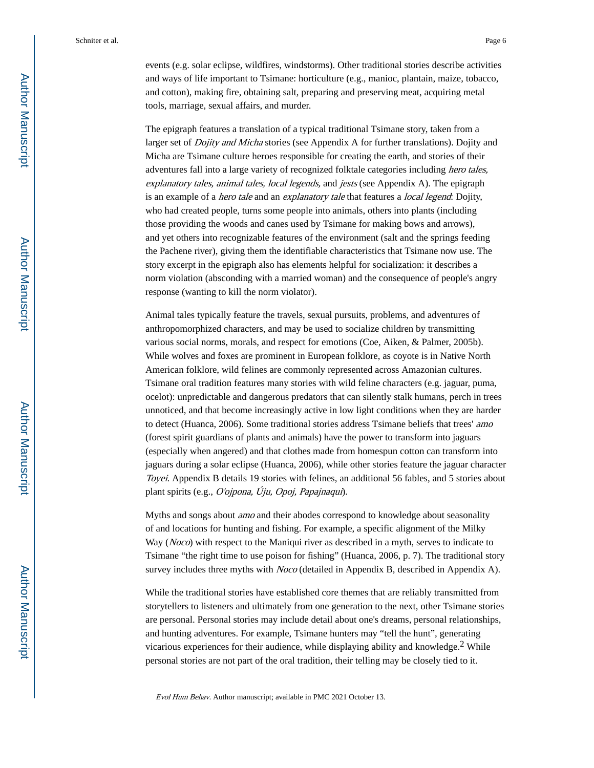events (e.g. solar eclipse, wildfires, windstorms). Other traditional stories describe activities and ways of life important to Tsimane: horticulture (e.g., manioc, plantain, maize, tobacco, and cotton), making fire, obtaining salt, preparing and preserving meat, acquiring metal tools, marriage, sexual affairs, and murder.

The epigraph features a translation of a typical traditional Tsimane story, taken from a larger set of *Dojity and Micha* stories (see Appendix A for further translations). Dojity and Micha are Tsimane culture heroes responsible for creating the earth, and stories of their adventures fall into a large variety of recognized folktale categories including hero tales, explanatory tales, animal tales, local legends, and jests (see Appendix A). The epigraph is an example of a *hero tale* and an *explanatory tale* that features a *local legend*: Dojity, who had created people, turns some people into animals, others into plants (including those providing the woods and canes used by Tsimane for making bows and arrows), and yet others into recognizable features of the environment (salt and the springs feeding the Pachene river), giving them the identifiable characteristics that Tsimane now use. The story excerpt in the epigraph also has elements helpful for socialization: it describes a norm violation (absconding with a married woman) and the consequence of people's angry response (wanting to kill the norm violator).

Animal tales typically feature the travels, sexual pursuits, problems, and adventures of anthropomorphized characters, and may be used to socialize children by transmitting various social norms, morals, and respect for emotions (Coe, Aiken, & Palmer, 2005b). While wolves and foxes are prominent in European folklore, as coyote is in Native North American folklore, wild felines are commonly represented across Amazonian cultures. Tsimane oral tradition features many stories with wild feline characters (e.g. jaguar, puma, ocelot): unpredictable and dangerous predators that can silently stalk humans, perch in trees unnoticed, and that become increasingly active in low light conditions when they are harder to detect (Huanca, 2006). Some traditional stories address Tsimane beliefs that trees' *amo* (forest spirit guardians of plants and animals) have the power to transform into jaguars (especially when angered) and that clothes made from homespun cotton can transform into jaguars during a solar eclipse (Huanca, 2006), while other stories feature the jaguar character Toyei. Appendix B details 19 stories with felines, an additional 56 fables, and 5 stories about plant spirits (e.g., O'ojpona, Úju, Opoj, Papajnaqui).

Myths and songs about *amo* and their abodes correspond to knowledge about seasonality of and locations for hunting and fishing. For example, a specific alignment of the Milky Way (*Noco*) with respect to the Maniqui river as described in a myth, serves to indicate to Tsimane "the right time to use poison for fishing" (Huanca, 2006, p. 7). The traditional story survey includes three myths with *Noco* (detailed in Appendix B, described in Appendix A).

While the traditional stories have established core themes that are reliably transmitted from storytellers to listeners and ultimately from one generation to the next, other Tsimane stories are personal. Personal stories may include detail about one's dreams, personal relationships, and hunting adventures. For example, Tsimane hunters may "tell the hunt", generating vicarious experiences for their audience, while displaying ability and knowledge.<sup>2</sup> While personal stories are not part of the oral tradition, their telling may be closely tied to it.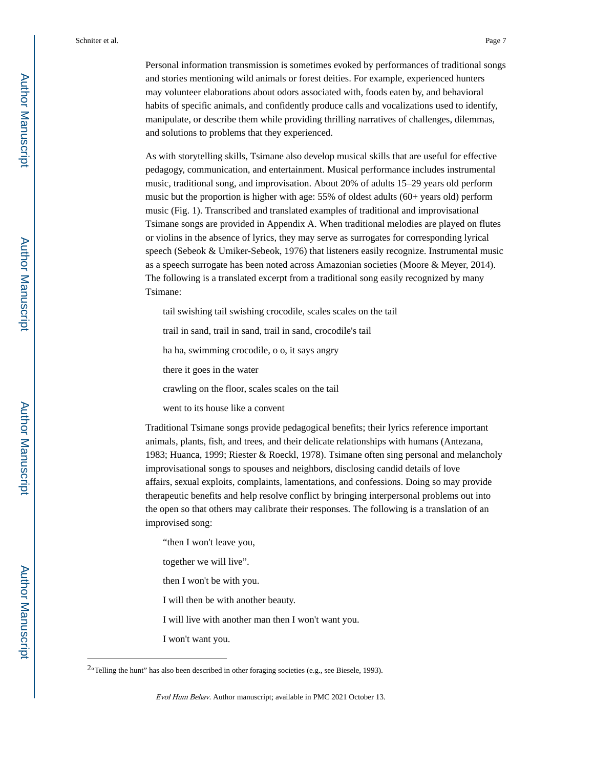Personal information transmission is sometimes evoked by performances of traditional songs and stories mentioning wild animals or forest deities. For example, experienced hunters may volunteer elaborations about odors associated with, foods eaten by, and behavioral habits of specific animals, and confidently produce calls and vocalizations used to identify, manipulate, or describe them while providing thrilling narratives of challenges, dilemmas, and solutions to problems that they experienced.

As with storytelling skills, Tsimane also develop musical skills that are useful for effective pedagogy, communication, and entertainment. Musical performance includes instrumental music, traditional song, and improvisation. About 20% of adults 15–29 years old perform music but the proportion is higher with age: 55% of oldest adults (60+ years old) perform music (Fig. 1). Transcribed and translated examples of traditional and improvisational Tsimane songs are provided in Appendix A. When traditional melodies are played on flutes or violins in the absence of lyrics, they may serve as surrogates for corresponding lyrical speech (Sebeok & Umiker-Sebeok, 1976) that listeners easily recognize. Instrumental music as a speech surrogate has been noted across Amazonian societies (Moore & Meyer, 2014). The following is a translated excerpt from a traditional song easily recognized by many Tsimane:

tail swishing tail swishing crocodile, scales scales on the tail

trail in sand, trail in sand, trail in sand, crocodile's tail

ha ha, swimming crocodile, o o, it says angry

there it goes in the water

crawling on the floor, scales scales on the tail

went to its house like a convent

Traditional Tsimane songs provide pedagogical benefits; their lyrics reference important animals, plants, fish, and trees, and their delicate relationships with humans (Antezana, 1983; Huanca, 1999; Riester & Roeckl, 1978). Tsimane often sing personal and melancholy improvisational songs to spouses and neighbors, disclosing candid details of love affairs, sexual exploits, complaints, lamentations, and confessions. Doing so may provide therapeutic benefits and help resolve conflict by bringing interpersonal problems out into the open so that others may calibrate their responses. The following is a translation of an improvised song:

"then I won't leave you,

together we will live".

then I won't be with you.

I will then be with another beauty.

I will live with another man then I won't want you.

I won't want you.

<sup>&</sup>lt;sup>2</sup>"Telling the hunt" has also been described in other foraging societies (e.g., see Biesele, 1993).

Evol Hum Behav. Author manuscript; available in PMC 2021 October 13.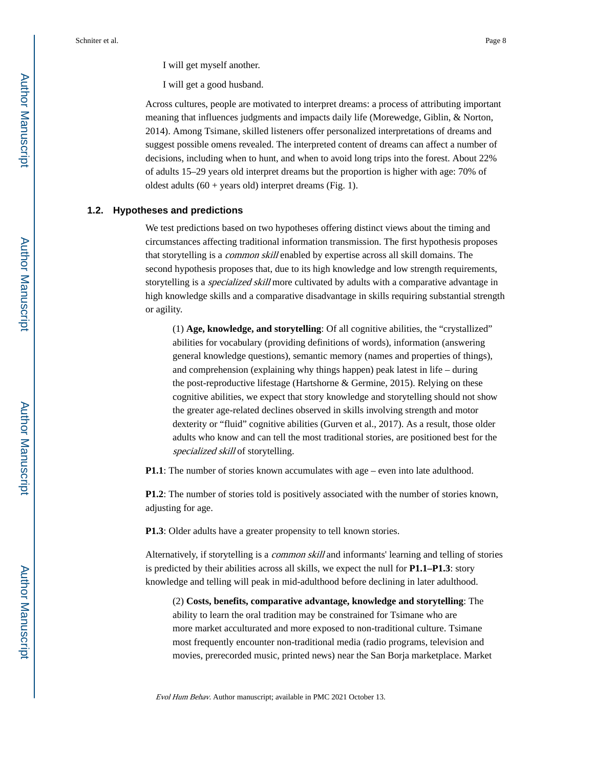I will get myself another.

I will get a good husband.

Across cultures, people are motivated to interpret dreams: a process of attributing important meaning that influences judgments and impacts daily life (Morewedge, Giblin, & Norton, 2014). Among Tsimane, skilled listeners offer personalized interpretations of dreams and suggest possible omens revealed. The interpreted content of dreams can affect a number of decisions, including when to hunt, and when to avoid long trips into the forest. About 22% of adults 15–29 years old interpret dreams but the proportion is higher with age: 70% of oldest adults  $(60 + \text{years old})$  interpret dreams (Fig. 1).

#### **1.2. Hypotheses and predictions**

We test predictions based on two hypotheses offering distinct views about the timing and circumstances affecting traditional information transmission. The first hypothesis proposes that storytelling is a common skill enabled by expertise across all skill domains. The second hypothesis proposes that, due to its high knowledge and low strength requirements, storytelling is a *specialized skill* more cultivated by adults with a comparative advantage in high knowledge skills and a comparative disadvantage in skills requiring substantial strength or agility.

(1) **Age, knowledge, and storytelling**: Of all cognitive abilities, the "crystallized" abilities for vocabulary (providing definitions of words), information (answering general knowledge questions), semantic memory (names and properties of things), and comprehension (explaining why things happen) peak latest in life – during the post-reproductive lifestage (Hartshorne & Germine, 2015). Relying on these cognitive abilities, we expect that story knowledge and storytelling should not show the greater age-related declines observed in skills involving strength and motor dexterity or "fluid" cognitive abilities (Gurven et al., 2017). As a result, those older adults who know and can tell the most traditional stories, are positioned best for the specialized skill of storytelling.

**P1.1**: The number of stories known accumulates with age – even into late adulthood.

**P1.2**: The number of stories told is positively associated with the number of stories known, adjusting for age.

**P1.3**: Older adults have a greater propensity to tell known stories.

Alternatively, if storytelling is a common skill and informants' learning and telling of stories is predicted by their abilities across all skills, we expect the null for **P1.1–P1.3**: story knowledge and telling will peak in mid-adulthood before declining in later adulthood.

(2) **Costs, benefits, comparative advantage, knowledge and storytelling**: The ability to learn the oral tradition may be constrained for Tsimane who are more market acculturated and more exposed to non-traditional culture. Tsimane most frequently encounter non-traditional media (radio programs, television and movies, prerecorded music, printed news) near the San Borja marketplace. Market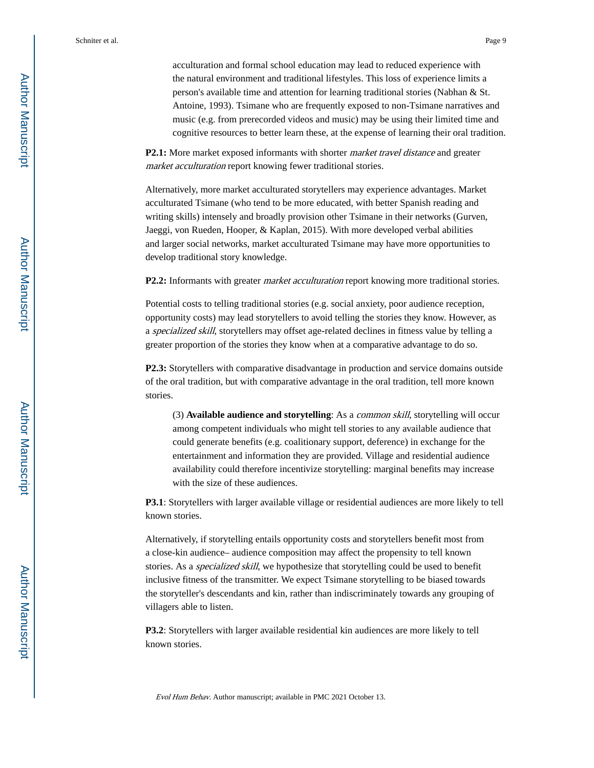acculturation and formal school education may lead to reduced experience with the natural environment and traditional lifestyles. This loss of experience limits a person's available time and attention for learning traditional stories (Nabhan & St. Antoine, 1993). Tsimane who are frequently exposed to non-Tsimane narratives and music (e.g. from prerecorded videos and music) may be using their limited time and cognitive resources to better learn these, at the expense of learning their oral tradition.

P2.1: More market exposed informants with shorter *market travel distance* and greater market acculturation report knowing fewer traditional stories.

Alternatively, more market acculturated storytellers may experience advantages. Market acculturated Tsimane (who tend to be more educated, with better Spanish reading and writing skills) intensely and broadly provision other Tsimane in their networks (Gurven, Jaeggi, von Rueden, Hooper, & Kaplan, 2015). With more developed verbal abilities and larger social networks, market acculturated Tsimane may have more opportunities to develop traditional story knowledge.

**P2.2:** Informants with greater *market acculturation* report knowing more traditional stories.

Potential costs to telling traditional stories (e.g. social anxiety, poor audience reception, opportunity costs) may lead storytellers to avoid telling the stories they know. However, as a specialized skill, storytellers may offset age-related declines in fitness value by telling a greater proportion of the stories they know when at a comparative advantage to do so.

**P2.3:** Storytellers with comparative disadvantage in production and service domains outside of the oral tradition, but with comparative advantage in the oral tradition, tell more known stories.

(3) **Available audience and storytelling**: As a common skill, storytelling will occur among competent individuals who might tell stories to any available audience that could generate benefits (e.g. coalitionary support, deference) in exchange for the entertainment and information they are provided. Village and residential audience availability could therefore incentivize storytelling: marginal benefits may increase with the size of these audiences.

**P3.1**: Storytellers with larger available village or residential audiences are more likely to tell known stories.

Alternatively, if storytelling entails opportunity costs and storytellers benefit most from a close-kin audience– audience composition may affect the propensity to tell known stories. As a specialized skill, we hypothesize that storytelling could be used to benefit inclusive fitness of the transmitter. We expect Tsimane storytelling to be biased towards the storyteller's descendants and kin, rather than indiscriminately towards any grouping of villagers able to listen.

**P3.2**: Storytellers with larger available residential kin audiences are more likely to tell known stories.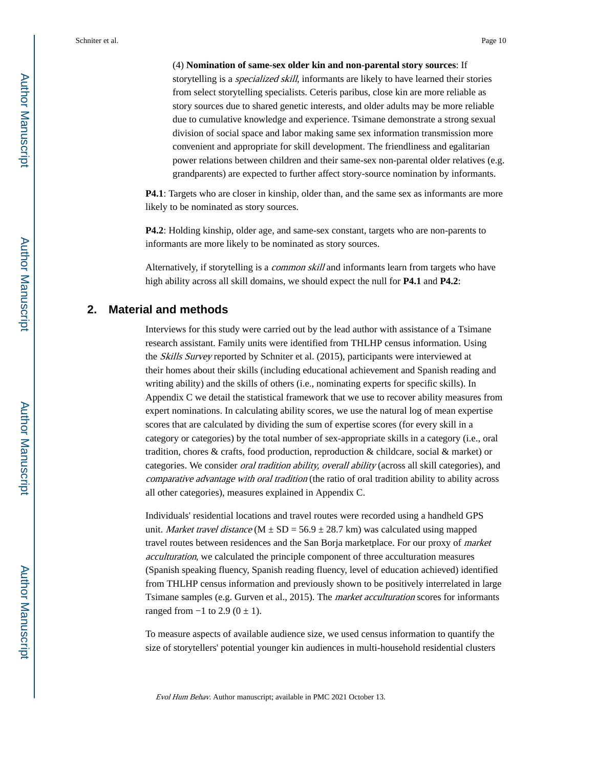(4) **Nomination of same-sex older kin and non-parental story sources**: If storytelling is a *specialized skill*, informants are likely to have learned their stories from select storytelling specialists. Ceteris paribus, close kin are more reliable as story sources due to shared genetic interests, and older adults may be more reliable due to cumulative knowledge and experience. Tsimane demonstrate a strong sexual division of social space and labor making same sex information transmission more convenient and appropriate for skill development. The friendliness and egalitarian power relations between children and their same-sex non-parental older relatives (e.g. grandparents) are expected to further affect story-source nomination by informants.

**P4.1**: Targets who are closer in kinship, older than, and the same sex as informants are more likely to be nominated as story sources.

**P4.2**: Holding kinship, older age, and same-sex constant, targets who are non-parents to informants are more likely to be nominated as story sources.

Alternatively, if storytelling is a *common skill* and informants learn from targets who have high ability across all skill domains, we should expect the null for **P4.1** and **P4.2**:

#### **2. Material and methods**

Interviews for this study were carried out by the lead author with assistance of a Tsimane research assistant. Family units were identified from THLHP census information. Using the Skills Survey reported by Schniter et al. (2015), participants were interviewed at their homes about their skills (including educational achievement and Spanish reading and writing ability) and the skills of others (i.e., nominating experts for specific skills). In Appendix C we detail the statistical framework that we use to recover ability measures from expert nominations. In calculating ability scores, we use the natural log of mean expertise scores that are calculated by dividing the sum of expertise scores (for every skill in a category or categories) by the total number of sex-appropriate skills in a category (i.e., oral tradition, chores & crafts, food production, reproduction & childcare, social & market) or categories. We consider oral tradition ability, overall ability (across all skill categories), and comparative advantage with oral tradition (the ratio of oral tradition ability to ability across all other categories), measures explained in Appendix C.

Individuals' residential locations and travel routes were recorded using a handheld GPS unit. Market travel distance (M  $\pm$  SD = 56.9  $\pm$  28.7 km) was calculated using mapped travel routes between residences and the San Borja marketplace. For our proxy of market acculturation, we calculated the principle component of three acculturation measures (Spanish speaking fluency, Spanish reading fluency, level of education achieved) identified from THLHP census information and previously shown to be positively interrelated in large Tsimane samples (e.g. Gurven et al., 2015). The market acculturation scores for informants ranged from  $-1$  to 2.9 (0  $\pm$  1).

To measure aspects of available audience size, we used census information to quantify the size of storytellers' potential younger kin audiences in multi-household residential clusters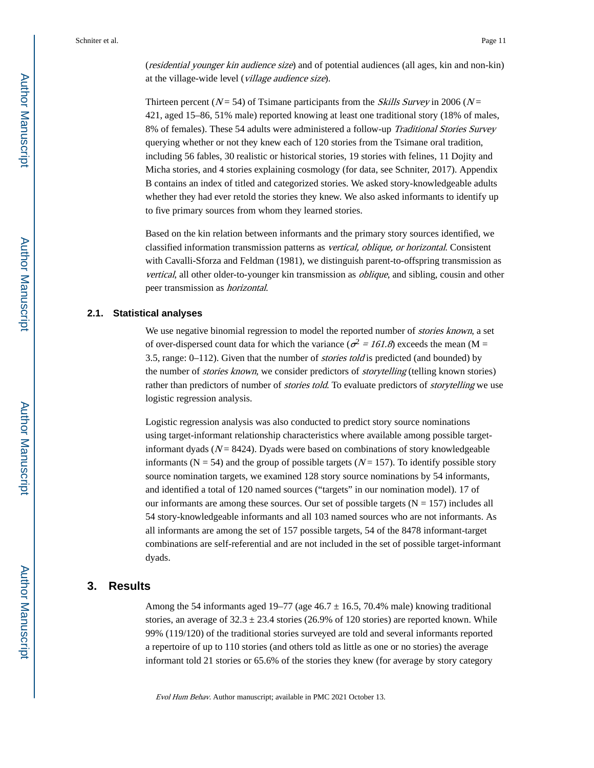(residential younger kin audience size) and of potential audiences (all ages, kin and non-kin) at the village-wide level (village audience size).

Thirteen percent ( $N = 54$ ) of Tsimane participants from the *Skills Survey* in 2006 ( $N =$ 421, aged 15–86, 51% male) reported knowing at least one traditional story (18% of males, 8% of females). These 54 adults were administered a follow-up Traditional Stories Survey querying whether or not they knew each of 120 stories from the Tsimane oral tradition, including 56 fables, 30 realistic or historical stories, 19 stories with felines, 11 Dojity and Micha stories, and 4 stories explaining cosmology (for data, see Schniter, 2017). Appendix B contains an index of titled and categorized stories. We asked story-knowledgeable adults whether they had ever retold the stories they knew. We also asked informants to identify up to five primary sources from whom they learned stories.

Based on the kin relation between informants and the primary story sources identified, we classified information transmission patterns as vertical, oblique, or horizontal. Consistent with Cavalli-Sforza and Feldman (1981), we distinguish parent-to-offspring transmission as vertical, all other older-to-younger kin transmission as oblique, and sibling, cousin and other peer transmission as horizontal.

#### **2.1. Statistical analyses**

We use negative binomial regression to model the reported number of *stories known*, a set of over-dispersed count data for which the variance ( $\sigma^2 = 161.8$ ) exceeds the mean (M = 3.5, range:  $0-112$ ). Given that the number of *stories told* is predicted (and bounded) by the number of *stories known*, we consider predictors of *storytelling* (telling known stories) rather than predictors of number of *stories told*. To evaluate predictors of *storytelling* we use logistic regression analysis.

Logistic regression analysis was also conducted to predict story source nominations using target-informant relationship characteristics where available among possible targetinformant dyads  $(N = 8424)$ . Dyads were based on combinations of story knowledgeable informants ( $N = 54$ ) and the group of possible targets ( $N = 157$ ). To identify possible story source nomination targets, we examined 128 story source nominations by 54 informants, and identified a total of 120 named sources ("targets" in our nomination model). 17 of our informants are among these sources. Our set of possible targets ( $N = 157$ ) includes all 54 story-knowledgeable informants and all 103 named sources who are not informants. As all informants are among the set of 157 possible targets, 54 of the 8478 informant-target combinations are self-referential and are not included in the set of possible target-informant dyads.

## **3. Results**

Among the 54 informants aged 19–77 (age  $46.7 \pm 16.5$ , 70.4% male) knowing traditional stories, an average of  $32.3 \pm 23.4$  stories (26.9% of 120 stories) are reported known. While 99% (119/120) of the traditional stories surveyed are told and several informants reported a repertoire of up to 110 stories (and others told as little as one or no stories) the average informant told 21 stories or 65.6% of the stories they knew (for average by story category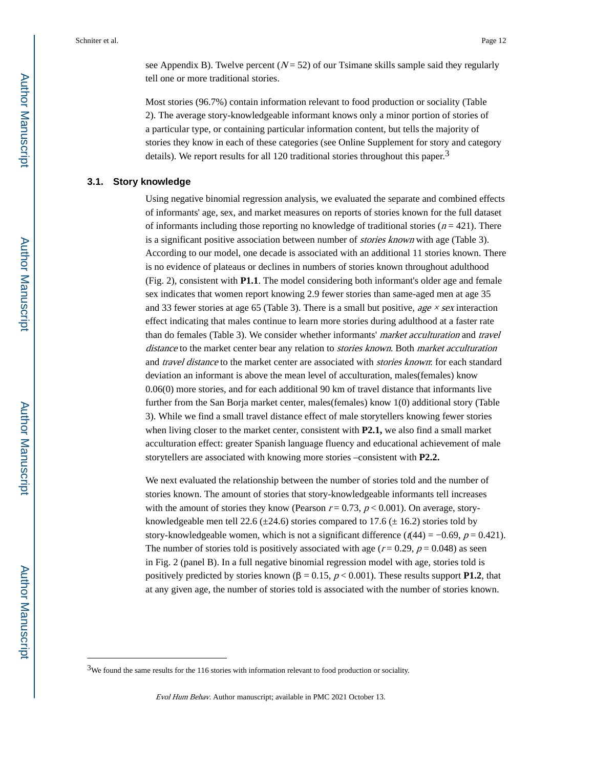see Appendix B). Twelve percent  $(N = 52)$  of our Tsimane skills sample said they regularly tell one or more traditional stories.

Most stories (96.7%) contain information relevant to food production or sociality (Table 2). The average story-knowledgeable informant knows only a minor portion of stories of a particular type, or containing particular information content, but tells the majority of stories they know in each of these categories (see Online Supplement for story and category details). We report results for all 120 traditional stories throughout this paper.<sup>3</sup>

# **3.1. Story knowledge**

Using negative binomial regression analysis, we evaluated the separate and combined effects of informants' age, sex, and market measures on reports of stories known for the full dataset of informants including those reporting no knowledge of traditional stories ( $n = 421$ ). There is a significant positive association between number of *stories known* with age (Table 3). According to our model, one decade is associated with an additional 11 stories known. There is no evidence of plateaus or declines in numbers of stories known throughout adulthood (Fig. 2), consistent with **P1.1**. The model considering both informant's older age and female sex indicates that women report knowing 2.9 fewer stories than same-aged men at age 35 and 33 fewer stories at age 65 (Table 3). There is a small but positive, age  $\times$  sex interaction effect indicating that males continue to learn more stories during adulthood at a faster rate than do females (Table 3). We consider whether informants' market acculturation and travel distance to the market center bear any relation to *stories known*. Both *market acculturation* and travel distance to the market center are associated with *stories known*: for each standard deviation an informant is above the mean level of acculturation, males(females) know 0.06(0) more stories, and for each additional 90 km of travel distance that informants live further from the San Borja market center, males(females) know 1(0) additional story (Table 3). While we find a small travel distance effect of male storytellers knowing fewer stories when living closer to the market center, consistent with **P2.1,** we also find a small market acculturation effect: greater Spanish language fluency and educational achievement of male storytellers are associated with knowing more stories –consistent with **P2.2.**

We next evaluated the relationship between the number of stories told and the number of stories known. The amount of stories that story-knowledgeable informants tell increases with the amount of stories they know (Pearson  $r = 0.73$ ,  $p < 0.001$ ). On average, storyknowledgeable men tell 22.6 ( $\pm$ 24.6) stories compared to 17.6 ( $\pm$  16.2) stories told by story-knowledgeable women, which is not a significant difference ( $t(44) = -0.69$ ,  $p = 0.421$ ). The number of stories told is positively associated with age ( $r = 0.29$ ,  $p = 0.048$ ) as seen in Fig. 2 (panel B). In a full negative binomial regression model with age, stories told is positively predicted by stories known  $(β = 0.15, p < 0.001)$ . These results support **P1.2**, that at any given age, the number of stories told is associated with the number of stories known.

 $3$ We found the same results for the 116 stories with information relevant to food production or sociality.

Evol Hum Behav. Author manuscript; available in PMC 2021 October 13.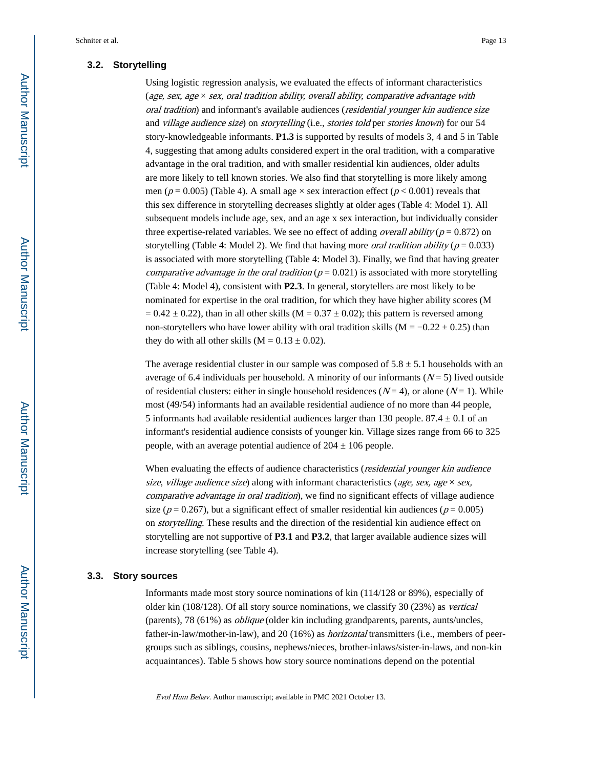#### **3.2. Storytelling**

Using logistic regression analysis, we evaluated the effects of informant characteristics (age, sex, age  $\times$  sex, oral tradition ability, overall ability, comparative advantage with oral tradition) and informant's available audiences (residential younger kin audience size and village audience size) on storytelling (i.e., stories told per stories known) for our 54 story-knowledgeable informants. **P1.3** is supported by results of models 3, 4 and 5 in Table 4, suggesting that among adults considered expert in the oral tradition, with a comparative advantage in the oral tradition, and with smaller residential kin audiences, older adults are more likely to tell known stories. We also find that storytelling is more likely among men ( $p = 0.005$ ) (Table 4). A small age  $\times$  sex interaction effect ( $p < 0.001$ ) reveals that this sex difference in storytelling decreases slightly at older ages (Table 4: Model 1). All subsequent models include age, sex, and an age x sex interaction, but individually consider three expertise-related variables. We see no effect of adding *overall ability* ( $p = 0.872$ ) on storytelling (Table 4: Model 2). We find that having more *oral tradition ability* ( $p = 0.033$ ) is associated with more storytelling (Table 4: Model 3). Finally, we find that having greater comparative advantage in the oral tradition ( $p = 0.021$ ) is associated with more storytelling (Table 4: Model 4), consistent with **P2.3**. In general, storytellers are most likely to be nominated for expertise in the oral tradition, for which they have higher ability scores (M  $= 0.42 \pm 0.22$ ), than in all other skills (M = 0.37  $\pm$  0.02); this pattern is reversed among non-storytellers who have lower ability with oral tradition skills (M =  $-0.22 \pm 0.25$ ) than they do with all other skills  $(M = 0.13 \pm 0.02)$ .

The average residential cluster in our sample was composed of  $5.8 \pm 5.1$  households with an average of 6.4 individuals per household. A minority of our informants  $(N=5)$  lived outside of residential clusters: either in single household residences ( $N = 4$ ), or alone ( $N = 1$ ). While most (49/54) informants had an available residential audience of no more than 44 people, 5 informants had available residential audiences larger than 130 people.  $87.4 \pm 0.1$  of an informant's residential audience consists of younger kin. Village sizes range from 66 to 325 people, with an average potential audience of  $204 \pm 106$  people.

When evaluating the effects of audience characteristics (*residential younger kin audience* size, village audience size) along with informant characteristics (age, sex, age  $\times$  sex, comparative advantage in oral tradition), we find no significant effects of village audience size ( $p = 0.267$ ), but a significant effect of smaller residential kin audiences ( $p = 0.005$ ) on storytelling. These results and the direction of the residential kin audience effect on storytelling are not supportive of **P3.1** and **P3.2**, that larger available audience sizes will increase storytelling (see Table 4).

#### **3.3. Story sources**

Informants made most story source nominations of kin (114/128 or 89%), especially of older kin (108/128). Of all story source nominations, we classify 30 (23%) as vertical (parents), 78 (61%) as oblique (older kin including grandparents, parents, aunts/uncles, father-in-law/mother-in-law), and 20 (16%) as horizontal transmitters (i.e., members of peergroups such as siblings, cousins, nephews/nieces, brother-inlaws/sister-in-laws, and non-kin acquaintances). Table 5 shows how story source nominations depend on the potential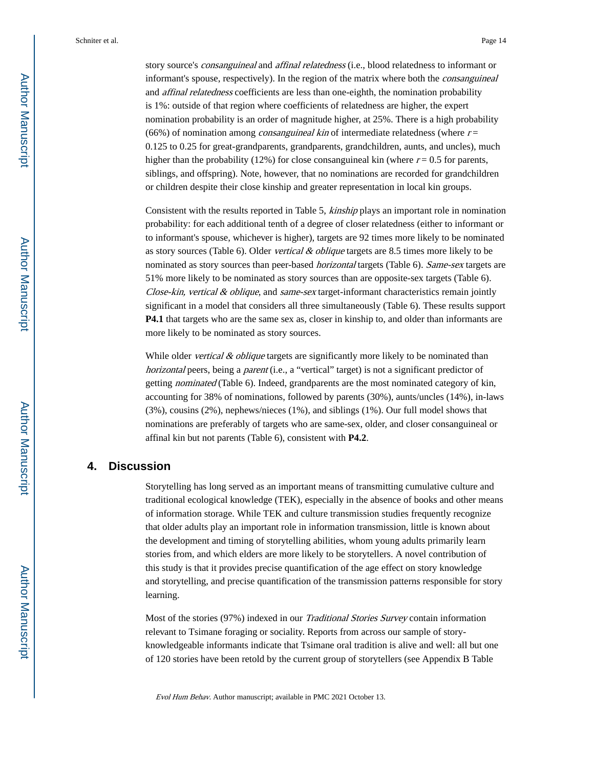story source's *consanguineal* and *affinal relatedness* (i.e., blood relatedness to informant or informant's spouse, respectively). In the region of the matrix where both the consanguineal and *affinal relatedness* coefficients are less than one-eighth, the nomination probability is 1%: outside of that region where coefficients of relatedness are higher, the expert nomination probability is an order of magnitude higher, at 25%. There is a high probability (66%) of nomination among *consanguineal kin* of intermediate relatedness (where  $r =$ 0.125 to 0.25 for great-grandparents, grandparents, grandchildren, aunts, and uncles), much higher than the probability (12%) for close consanguineal kin (where  $r = 0.5$  for parents, siblings, and offspring). Note, however, that no nominations are recorded for grandchildren or children despite their close kinship and greater representation in local kin groups.

Consistent with the results reported in Table 5, kinship plays an important role in nomination probability: for each additional tenth of a degree of closer relatedness (either to informant or to informant's spouse, whichever is higher), targets are 92 times more likely to be nominated as story sources (Table 6). Older vertical  $&$  oblique targets are 8.5 times more likely to be nominated as story sources than peer-based *horizontal* targets (Table 6). Same-sex targets are 51% more likely to be nominated as story sources than are opposite-sex targets (Table 6). Close-kin, vertical  $&$  oblique, and same-sex target-informant characteristics remain jointly significant in a model that considers all three simultaneously (Table 6). These results support **P4.1** that targets who are the same sex as, closer in kinship to, and older than informants are more likely to be nominated as story sources.

While older *vertical & oblique* targets are significantly more likely to be nominated than horizontal peers, being a *parent* (i.e., a "vertical" target) is not a significant predictor of getting nominated (Table 6). Indeed, grandparents are the most nominated category of kin, accounting for 38% of nominations, followed by parents (30%), aunts/uncles (14%), in-laws (3%), cousins (2%), nephews/nieces (1%), and siblings (1%). Our full model shows that nominations are preferably of targets who are same-sex, older, and closer consanguineal or affinal kin but not parents (Table 6), consistent with **P4.2**.

# **4. Discussion**

Storytelling has long served as an important means of transmitting cumulative culture and traditional ecological knowledge (TEK), especially in the absence of books and other means of information storage. While TEK and culture transmission studies frequently recognize that older adults play an important role in information transmission, little is known about the development and timing of storytelling abilities, whom young adults primarily learn stories from, and which elders are more likely to be storytellers. A novel contribution of this study is that it provides precise quantification of the age effect on story knowledge and storytelling, and precise quantification of the transmission patterns responsible for story learning.

Most of the stories (97%) indexed in our Traditional Stories Survey contain information relevant to Tsimane foraging or sociality. Reports from across our sample of storyknowledgeable informants indicate that Tsimane oral tradition is alive and well: all but one of 120 stories have been retold by the current group of storytellers (see Appendix B Table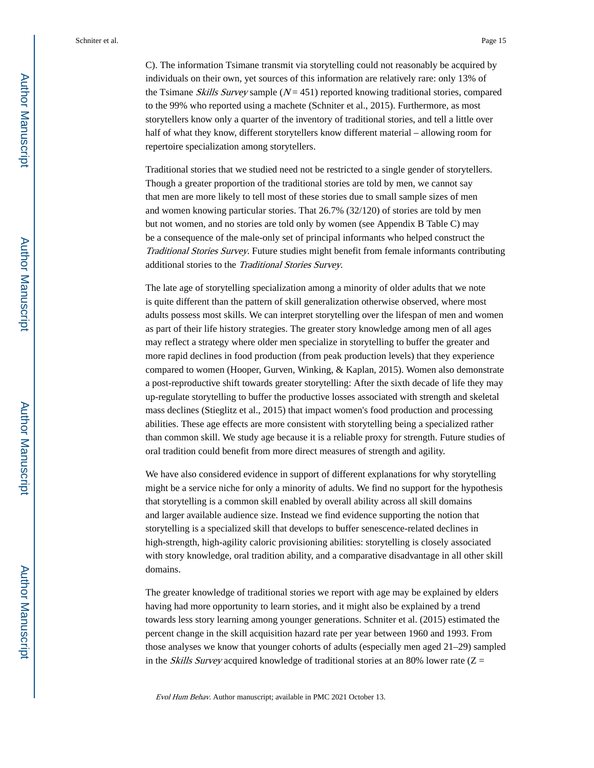C). The information Tsimane transmit via storytelling could not reasonably be acquired by individuals on their own, yet sources of this information are relatively rare: only 13% of the Tsimane *Skills Survey* sample  $(N = 451)$  reported knowing traditional stories, compared to the 99% who reported using a machete (Schniter et al., 2015). Furthermore, as most storytellers know only a quarter of the inventory of traditional stories, and tell a little over half of what they know, different storytellers know different material – allowing room for repertoire specialization among storytellers.

Traditional stories that we studied need not be restricted to a single gender of storytellers. Though a greater proportion of the traditional stories are told by men, we cannot say that men are more likely to tell most of these stories due to small sample sizes of men and women knowing particular stories. That 26.7% (32/120) of stories are told by men but not women, and no stories are told only by women (see Appendix B Table C) may be a consequence of the male-only set of principal informants who helped construct the Traditional Stories Survey. Future studies might benefit from female informants contributing additional stories to the Traditional Stories Survey.

The late age of storytelling specialization among a minority of older adults that we note is quite different than the pattern of skill generalization otherwise observed, where most adults possess most skills. We can interpret storytelling over the lifespan of men and women as part of their life history strategies. The greater story knowledge among men of all ages may reflect a strategy where older men specialize in storytelling to buffer the greater and more rapid declines in food production (from peak production levels) that they experience compared to women (Hooper, Gurven, Winking, & Kaplan, 2015). Women also demonstrate a post-reproductive shift towards greater storytelling: After the sixth decade of life they may up-regulate storytelling to buffer the productive losses associated with strength and skeletal mass declines (Stieglitz et al., 2015) that impact women's food production and processing abilities. These age effects are more consistent with storytelling being a specialized rather than common skill. We study age because it is a reliable proxy for strength. Future studies of oral tradition could benefit from more direct measures of strength and agility.

We have also considered evidence in support of different explanations for why storytelling might be a service niche for only a minority of adults. We find no support for the hypothesis that storytelling is a common skill enabled by overall ability across all skill domains and larger available audience size. Instead we find evidence supporting the notion that storytelling is a specialized skill that develops to buffer senescence-related declines in high-strength, high-agility caloric provisioning abilities: storytelling is closely associated with story knowledge, oral tradition ability, and a comparative disadvantage in all other skill domains.

The greater knowledge of traditional stories we report with age may be explained by elders having had more opportunity to learn stories, and it might also be explained by a trend towards less story learning among younger generations. Schniter et al. (2015) estimated the percent change in the skill acquisition hazard rate per year between 1960 and 1993. From those analyses we know that younger cohorts of adults (especially men aged 21–29) sampled in the *Skills Survey* acquired knowledge of traditional stories at an 80% lower rate ( $Z =$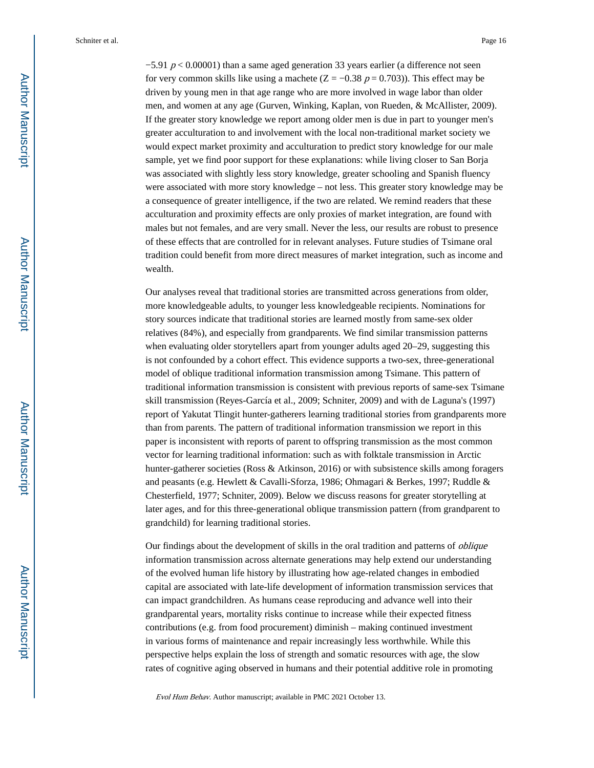$-5.91$  p < 0.00001) than a same aged generation 33 years earlier (a difference not seen for very common skills like using a machete ( $Z = -0.38$   $p = 0.703$ )). This effect may be driven by young men in that age range who are more involved in wage labor than older men, and women at any age (Gurven, Winking, Kaplan, von Rueden, & McAllister, 2009). If the greater story knowledge we report among older men is due in part to younger men's greater acculturation to and involvement with the local non-traditional market society we would expect market proximity and acculturation to predict story knowledge for our male sample, yet we find poor support for these explanations: while living closer to San Borja was associated with slightly less story knowledge, greater schooling and Spanish fluency were associated with more story knowledge – not less. This greater story knowledge may be a consequence of greater intelligence, if the two are related. We remind readers that these acculturation and proximity effects are only proxies of market integration, are found with males but not females, and are very small. Never the less, our results are robust to presence of these effects that are controlled for in relevant analyses. Future studies of Tsimane oral tradition could benefit from more direct measures of market integration, such as income and wealth.

Our analyses reveal that traditional stories are transmitted across generations from older, more knowledgeable adults, to younger less knowledgeable recipients. Nominations for story sources indicate that traditional stories are learned mostly from same-sex older relatives (84%), and especially from grandparents. We find similar transmission patterns when evaluating older storytellers apart from younger adults aged 20–29, suggesting this is not confounded by a cohort effect. This evidence supports a two-sex, three-generational model of oblique traditional information transmission among Tsimane. This pattern of traditional information transmission is consistent with previous reports of same-sex Tsimane skill transmission (Reyes-García et al., 2009; Schniter, 2009) and with de Laguna's (1997) report of Yakutat Tlingit hunter-gatherers learning traditional stories from grandparents more than from parents. The pattern of traditional information transmission we report in this paper is inconsistent with reports of parent to offspring transmission as the most common vector for learning traditional information: such as with folktale transmission in Arctic hunter-gatherer societies (Ross & Atkinson, 2016) or with subsistence skills among foragers and peasants (e.g. Hewlett & Cavalli-Sforza, 1986; Ohmagari & Berkes, 1997; Ruddle & Chesterfield, 1977; Schniter, 2009). Below we discuss reasons for greater storytelling at later ages, and for this three-generational oblique transmission pattern (from grandparent to grandchild) for learning traditional stories.

Our findings about the development of skills in the oral tradition and patterns of oblique information transmission across alternate generations may help extend our understanding of the evolved human life history by illustrating how age-related changes in embodied capital are associated with late-life development of information transmission services that can impact grandchildren. As humans cease reproducing and advance well into their grandparental years, mortality risks continue to increase while their expected fitness contributions (e.g. from food procurement) diminish – making continued investment in various forms of maintenance and repair increasingly less worthwhile. While this perspective helps explain the loss of strength and somatic resources with age, the slow rates of cognitive aging observed in humans and their potential additive role in promoting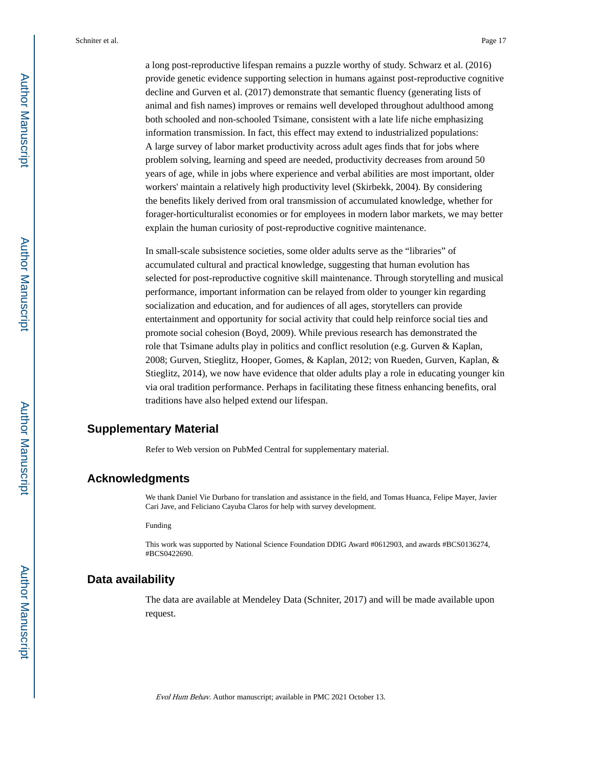a long post-reproductive lifespan remains a puzzle worthy of study. Schwarz et al. (2016) provide genetic evidence supporting selection in humans against post-reproductive cognitive decline and Gurven et al. (2017) demonstrate that semantic fluency (generating lists of animal and fish names) improves or remains well developed throughout adulthood among both schooled and non-schooled Tsimane, consistent with a late life niche emphasizing information transmission. In fact, this effect may extend to industrialized populations: A large survey of labor market productivity across adult ages finds that for jobs where problem solving, learning and speed are needed, productivity decreases from around 50 years of age, while in jobs where experience and verbal abilities are most important, older workers' maintain a relatively high productivity level (Skirbekk, 2004). By considering the benefits likely derived from oral transmission of accumulated knowledge, whether for forager-horticulturalist economies or for employees in modern labor markets, we may better explain the human curiosity of post-reproductive cognitive maintenance.

In small-scale subsistence societies, some older adults serve as the "libraries" of accumulated cultural and practical knowledge, suggesting that human evolution has selected for post-reproductive cognitive skill maintenance. Through storytelling and musical performance, important information can be relayed from older to younger kin regarding socialization and education, and for audiences of all ages, storytellers can provide entertainment and opportunity for social activity that could help reinforce social ties and promote social cohesion (Boyd, 2009). While previous research has demonstrated the role that Tsimane adults play in politics and conflict resolution (e.g. Gurven & Kaplan, 2008; Gurven, Stieglitz, Hooper, Gomes, & Kaplan, 2012; von Rueden, Gurven, Kaplan, & Stieglitz, 2014), we now have evidence that older adults play a role in educating younger kin via oral tradition performance. Perhaps in facilitating these fitness enhancing benefits, oral traditions have also helped extend our lifespan.

# **Supplementary Material**

Refer to Web version on PubMed Central for supplementary material.

## **Acknowledgments**

We thank Daniel Vie Durbano for translation and assistance in the field, and Tomas Huanca, Felipe Mayer, Javier Cari Jave, and Feliciano Cayuba Claros for help with survey development.

Funding

This work was supported by National Science Foundation DDIG Award #0612903, and awards #BCS0136274, #BCS0422690.

## **Data availability**

The data are available at Mendeley Data (Schniter, 2017) and will be made available upon request.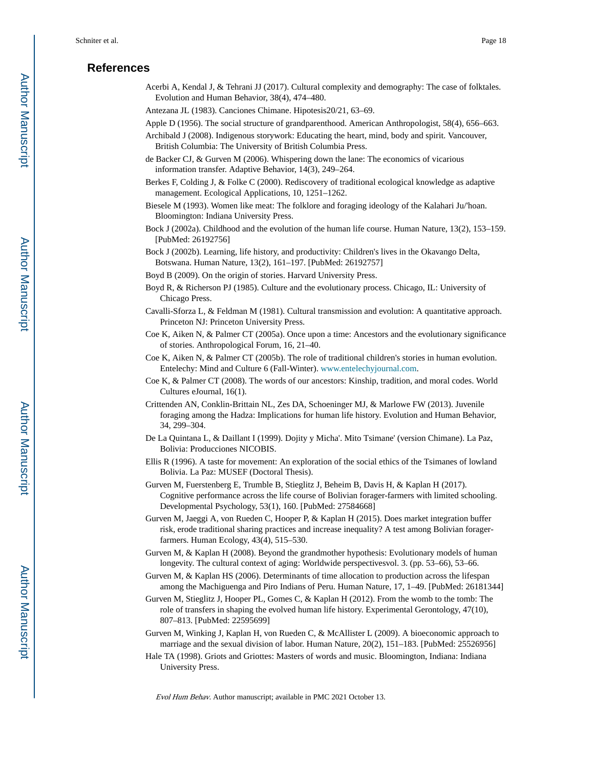## **References**

- Acerbi A, Kendal J, & Tehrani JJ (2017). Cultural complexity and demography: The case of folktales. Evolution and Human Behavior, 38(4), 474–480.
- Antezana JL (1983). Canciones Chimane. Hipotesis20/21, 63–69.
- Apple D (1956). The social structure of grandparenthood. American Anthropologist, 58(4), 656–663.
- Archibald J (2008). Indigenous storywork: Educating the heart, mind, body and spirit. Vancouver, British Columbia: The University of British Columbia Press.
- de Backer CJ, & Gurven M (2006). Whispering down the lane: The economics of vicarious information transfer. Adaptive Behavior, 14(3), 249–264.
- Berkes F, Colding J, & Folke C (2000). Rediscovery of traditional ecological knowledge as adaptive management. Ecological Applications, 10, 1251–1262.
- Biesele M (1993). Women like meat: The folklore and foraging ideology of the Kalahari Ju/'hoan. Bloomington: Indiana University Press.
- Bock J (2002a). Childhood and the evolution of the human life course. Human Nature, 13(2), 153–159. [PubMed: 26192756]
- Bock J (2002b). Learning, life history, and productivity: Children's lives in the Okavango Delta, Botswana. Human Nature, 13(2), 161–197. [PubMed: 26192757]
- Boyd B (2009). On the origin of stories. Harvard University Press.
- Boyd R, & Richerson PJ (1985). Culture and the evolutionary process. Chicago, IL: University of Chicago Press.
- Cavalli-Sforza L, & Feldman M (1981). Cultural transmission and evolution: A quantitative approach. Princeton NJ: Princeton University Press.
- Coe K, Aiken N, & Palmer CT (2005a). Once upon a time: Ancestors and the evolutionary significance of stories. Anthropological Forum, 16, 21–40.
- Coe K, Aiken N, & Palmer CT (2005b). The role of traditional children's stories in human evolution. Entelechy: Mind and Culture 6 (Fall-Winter). [www.entelechyjournal.com.](http://www.entelechyjournal.com)
- Coe K, & Palmer CT (2008). The words of our ancestors: Kinship, tradition, and moral codes. World Cultures eJournal, 16(1).
- Crittenden AN, Conklin-Brittain NL, Zes DA, Schoeninger MJ, & Marlowe FW (2013). Juvenile foraging among the Hadza: Implications for human life history. Evolution and Human Behavior, 34, 299–304.
- De La Quintana L, & Daillant I (1999). Dojity y Micha'. Mito Tsimane' (version Chimane). La Paz, Bolivia: Producciones NICOBIS.
- Ellis R (1996). A taste for movement: An exploration of the social ethics of the Tsimanes of lowland Bolivia. La Paz: MUSEF (Doctoral Thesis).
- Gurven M, Fuerstenberg E, Trumble B, Stieglitz J, Beheim B, Davis H, & Kaplan H (2017). Cognitive performance across the life course of Bolivian forager-farmers with limited schooling. Developmental Psychology, 53(1), 160. [PubMed: 27584668]
- Gurven M, Jaeggi A, von Rueden C, Hooper P, & Kaplan H (2015). Does market integration buffer risk, erode traditional sharing practices and increase inequality? A test among Bolivian foragerfarmers. Human Ecology, 43(4), 515–530.
- Gurven M, & Kaplan H (2008). Beyond the grandmother hypothesis: Evolutionary models of human longevity. The cultural context of aging: Worldwide perspectivesvol. 3. (pp. 53–66), 53–66.
- Gurven M, & Kaplan HS (2006). Determinants of time allocation to production across the lifespan among the Machiguenga and Piro Indians of Peru. Human Nature, 17, 1–49. [PubMed: 26181344]
- Gurven M, Stieglitz J, Hooper PL, Gomes C, & Kaplan H (2012). From the womb to the tomb: The role of transfers in shaping the evolved human life history. Experimental Gerontology, 47(10), 807–813. [PubMed: 22595699]
- Gurven M, Winking J, Kaplan H, von Rueden C, & McAllister L (2009). A bioeconomic approach to marriage and the sexual division of labor. Human Nature, 20(2), 151–183. [PubMed: 25526956]
- Hale TA (1998). Griots and Griottes: Masters of words and music. Bloomington, Indiana: Indiana University Press.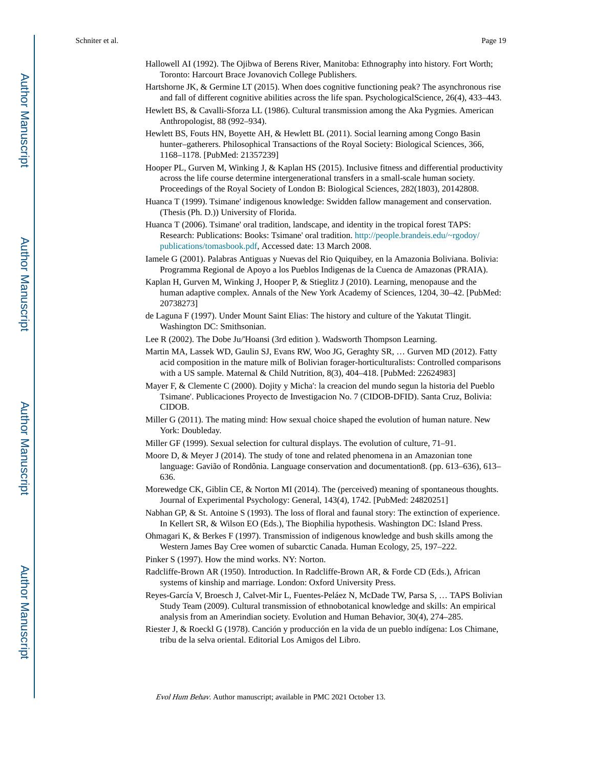- Hallowell AI (1992). The Ojibwa of Berens River, Manitoba: Ethnography into history. Fort Worth; Toronto: Harcourt Brace Jovanovich College Publishers.
- Hartshorne JK, & Germine LT (2015). When does cognitive functioning peak? The asynchronous rise and fall of different cognitive abilities across the life span. PsychologicalScience, 26(4), 433–443.
- Hewlett BS, & Cavalli-Sforza LL (1986). Cultural transmission among the Aka Pygmies. American Anthropologist, 88 (992–934).
- Hewlett BS, Fouts HN, Boyette AH, & Hewlett BL (2011). Social learning among Congo Basin hunter–gatherers. Philosophical Transactions of the Royal Society: Biological Sciences, 366, 1168–1178. [PubMed: 21357239]
- Hooper PL, Gurven M, Winking J, & Kaplan HS (2015). Inclusive fitness and differential productivity across the life course determine intergenerational transfers in a small-scale human society. Proceedings of the Royal Society of London B: Biological Sciences, 282(1803), 20142808.
- Huanca T (1999). Tsimane' indigenous knowledge: Swidden fallow management and conservation. (Thesis (Ph. D.)) University of Florida.
- Huanca T (2006). Tsimane' oral tradition, landscape, and identity in the tropical forest TAPS: Research: Publications: Books: Tsimane' oral tradition. [http://people.brandeis.edu/~rgodoy/](http://people.brandeis.edu/~rgodoy/publications/tomasbook.pdf) [publications/tomasbook.pdf](http://people.brandeis.edu/~rgodoy/publications/tomasbook.pdf), Accessed date: 13 March 2008.
- Iamele G (2001). Palabras Antiguas y Nuevas del Rio Quiquibey, en la Amazonia Boliviana. Bolivia: Programma Regional de Apoyo a los Pueblos Indigenas de la Cuenca de Amazonas (PRAIA).
- Kaplan H, Gurven M, Winking J, Hooper P, & Stieglitz J (2010). Learning, menopause and the human adaptive complex. Annals of the New York Academy of Sciences, 1204, 30–42. [PubMed: 20738273]
- de Laguna F (1997). Under Mount Saint Elias: The history and culture of the Yakutat Tlingit. Washington DC: Smithsonian.

Lee R (2002). The Dobe Ju/'Hoansi (3rd edition ). Wadsworth Thompson Learning.

- Martin MA, Lassek WD, Gaulin SJ, Evans RW, Woo JG, Geraghty SR, … Gurven MD (2012). Fatty acid composition in the mature milk of Bolivian forager-horticulturalists: Controlled comparisons with a US sample. Maternal & Child Nutrition, 8(3), 404–418. [PubMed: 22624983]
- Mayer F, & Clemente C (2000). Dojity y Micha': la creacion del mundo segun la historia del Pueblo Tsimane'. Publicaciones Proyecto de Investigacion No. 7 (CIDOB-DFID). Santa Cruz, Bolivia: CIDOB.
- Miller G (2011). The mating mind: How sexual choice shaped the evolution of human nature. New York: Doubleday.
- Miller GF (1999). Sexual selection for cultural displays. The evolution of culture, 71–91.
- Moore D, & Meyer J (2014). The study of tone and related phenomena in an Amazonian tone language: Gavião of Rondônia. Language conservation and documentation8. (pp. 613–636), 613– 636.
- Morewedge CK, Giblin CE, & Norton MI (2014). The (perceived) meaning of spontaneous thoughts. Journal of Experimental Psychology: General, 143(4), 1742. [PubMed: 24820251]
- Nabhan GP, & St. Antoine S (1993). The loss of floral and faunal story: The extinction of experience. In Kellert SR, & Wilson EO (Eds.), The Biophilia hypothesis. Washington DC: Island Press.
- Ohmagari K, & Berkes F (1997). Transmission of indigenous knowledge and bush skills among the Western James Bay Cree women of subarctic Canada. Human Ecology, 25, 197–222.
- Pinker S (1997). How the mind works. NY: Norton.
- Radcliffe-Brown AR (1950). Introduction. In Radcliffe-Brown AR, & Forde CD (Eds.), African systems of kinship and marriage. London: Oxford University Press.
- Reyes-García V, Broesch J, Calvet-Mir L, Fuentes-Peláez N, McDade TW, Parsa S, … TAPS Bolivian Study Team (2009). Cultural transmission of ethnobotanical knowledge and skills: An empirical analysis from an Amerindian society. Evolution and Human Behavior, 30(4), 274–285.
- Riester J, & Roeckl G (1978). Canción y producción en la vida de un pueblo indígena: Los Chimane, tribu de la selva oriental. Editorial Los Amigos del Libro.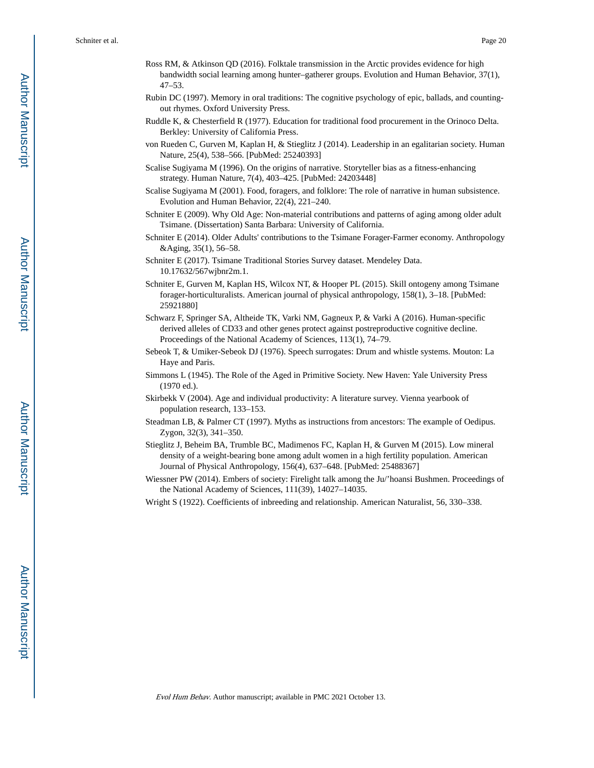- Ross RM, & Atkinson QD (2016). Folktale transmission in the Arctic provides evidence for high bandwidth social learning among hunter–gatherer groups. Evolution and Human Behavior, 37(1), 47–53.
- Rubin DC (1997). Memory in oral traditions: The cognitive psychology of epic, ballads, and countingout rhymes. Oxford University Press.
- Ruddle K, & Chesterfield R (1977). Education for traditional food procurement in the Orinoco Delta. Berkley: University of California Press.
- von Rueden C, Gurven M, Kaplan H, & Stieglitz J (2014). Leadership in an egalitarian society. Human Nature, 25(4), 538–566. [PubMed: 25240393]
- Scalise Sugiyama M (1996). On the origins of narrative. Storyteller bias as a fitness-enhancing strategy. Human Nature, 7(4), 403–425. [PubMed: 24203448]
- Scalise Sugiyama M (2001). Food, foragers, and folklore: The role of narrative in human subsistence. Evolution and Human Behavior, 22(4), 221–240.
- Schniter E (2009). Why Old Age: Non-material contributions and patterns of aging among older adult Tsimane. (Dissertation) Santa Barbara: University of California.
- Schniter E (2014). Older Adults' contributions to the Tsimane Forager-Farmer economy. Anthropology &Aging, 35(1), 56–58.
- Schniter E (2017). Tsimane Traditional Stories Survey dataset. Mendeley Data. 10.17632/567wjbnr2m.1.
- Schniter E, Gurven M, Kaplan HS, Wilcox NT, & Hooper PL (2015). Skill ontogeny among Tsimane forager-horticulturalists. American journal of physical anthropology, 158(1), 3–18. [PubMed: 25921880]
- Schwarz F, Springer SA, Altheide TK, Varki NM, Gagneux P, & Varki A (2016). Human-specific derived alleles of CD33 and other genes protect against postreproductive cognitive decline. Proceedings of the National Academy of Sciences, 113(1), 74–79.
- Sebeok T, & Umiker-Sebeok DJ (1976). Speech surrogates: Drum and whistle systems. Mouton: La Haye and Paris.
- Simmons L (1945). The Role of the Aged in Primitive Society. New Haven: Yale University Press (1970 ed.).
- Skirbekk V (2004). Age and individual productivity: A literature survey. Vienna yearbook of population research, 133–153.
- Steadman LB, & Palmer CT (1997). Myths as instructions from ancestors: The example of Oedipus. Zygon, 32(3), 341–350.
- Stieglitz J, Beheim BA, Trumble BC, Madimenos FC, Kaplan H, & Gurven M (2015). Low mineral density of a weight-bearing bone among adult women in a high fertility population. American Journal of Physical Anthropology, 156(4), 637–648. [PubMed: 25488367]
- Wiessner PW (2014). Embers of society: Firelight talk among the Ju/'hoansi Bushmen. Proceedings of the National Academy of Sciences, 111(39), 14027–14035.
- Wright S (1922). Coefficients of inbreeding and relationship. American Naturalist, 56, 330–338.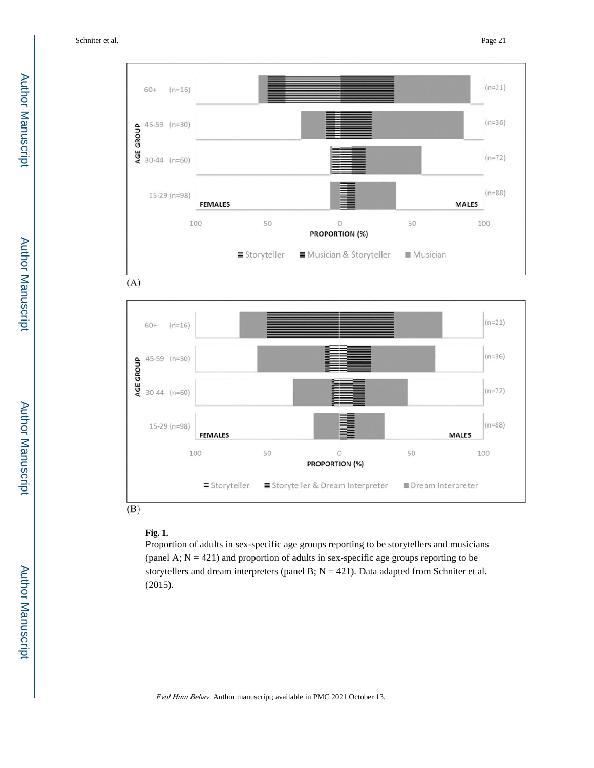



#### **Fig. 1.**

Proportion of adults in sex-specific age groups reporting to be storytellers and musicians (panel A;  $N = 421$ ) and proportion of adults in sex-specific age groups reporting to be storytellers and dream interpreters (panel B;  $N = 421$ ). Data adapted from Schniter et al. (2015).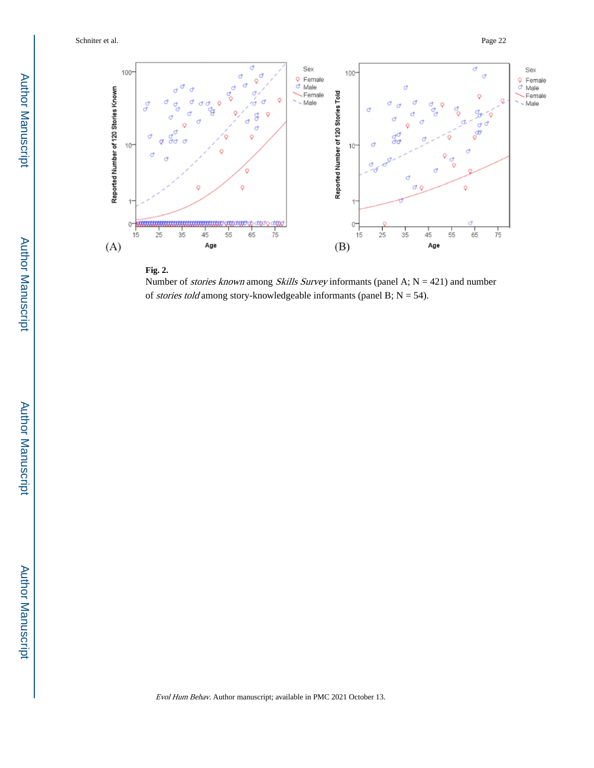Schniter et al. Page 22



#### **Fig. 2.**

Number of *stories known* among *Skills Survey* informants (panel A;  $N = 421$ ) and number of *stories told* among story-knowledgeable informants (panel B;  $N = 54$ ).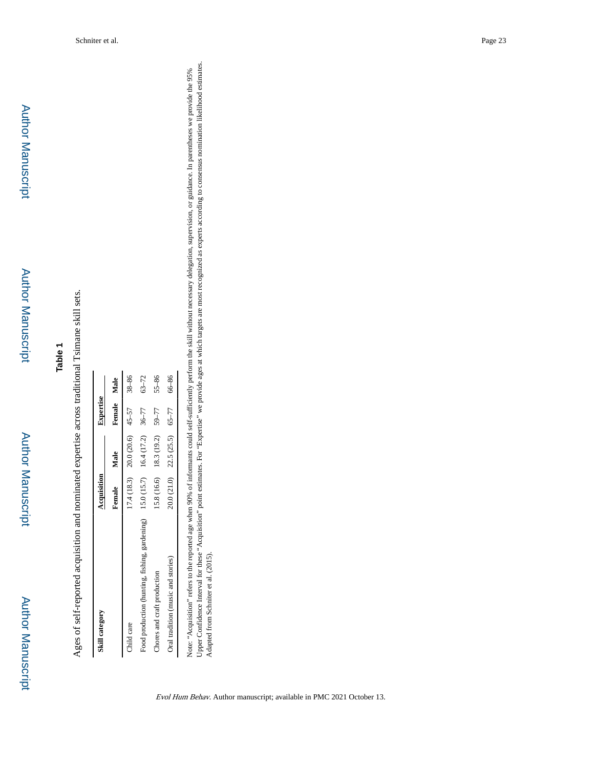Author Manuscript

Ages of self-reported acquisition and nominated expertise across traditional Tsimane skill sets. Ages of self-reported acquisition and nominated expertise across traditional Tsimane skill sets.

| Skill category                                                              | Acquisition |                                   | <b>Expertise</b> |           |
|-----------------------------------------------------------------------------|-------------|-----------------------------------|------------------|-----------|
|                                                                             | Female      | Male                              | Female Male      |           |
| Child care                                                                  |             | $17.4(18.3)$ 20.0 (20.6) $45-57$  |                  | $38 - 86$ |
| Food production (hunting, fishing, gardening) 15.0 (15.7) 16.4 (17.2) 36-77 |             |                                   |                  | $63 - 72$ |
| Chores and craft production                                                 |             | $15.8(16.6)$ 18.3 (19.2) 59-77    |                  | $55 - 86$ |
| Oral tradition (music and stories)                                          |             | $20.0(21.0)$ $22.5(25.5)$ $65-77$ |                  | $66 - 86$ |

Note: "Acquisition" refers to the reported age when 90% of informants could self-sufficiently perform the skill without necessary delegation, supervision, or guidance. In parentheses we provide the 95%<br>Upper Confidence Int Upper Confidence Interval for these "Acquisition" point estimates. For "Expertise" we provide ages at which targets are most recognized as experts according to consensus nomination likelihood estimates. Note: "Acquisition" refers to the reported age when 90% of informants could self-sufficiently perform the skill without necessary delegation, supervision, or guidance. In parentheses we provide the 95% Adapted from Schniter et al. (2015).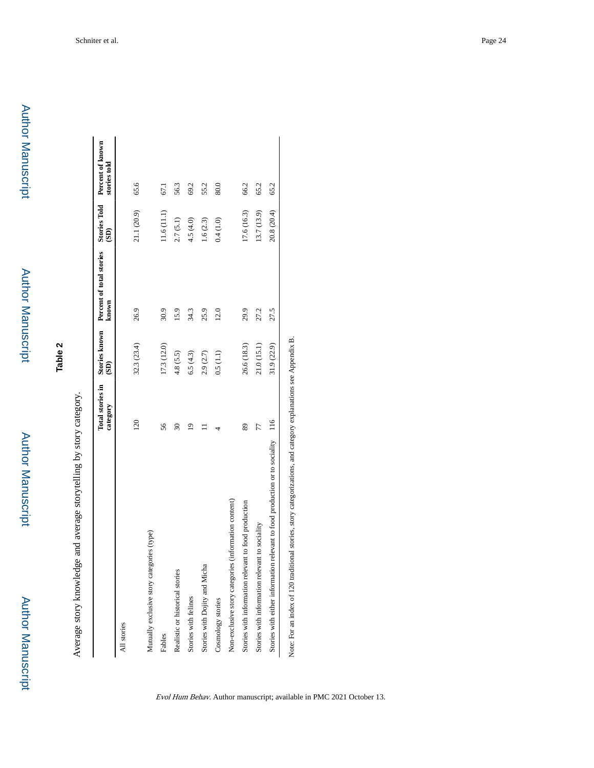**Author Manuscript** 

Average story knowledge and average storytelling by story category. Average story knowledge and average storytelling by story category.

| <b>20</b><br>Mutually exclusive story categories (type)<br>All stories          |             | known | (3)         | stories told |
|---------------------------------------------------------------------------------|-------------|-------|-------------|--------------|
|                                                                                 |             |       |             |              |
|                                                                                 | 32.3 (23.4) | 26.9  | 21.1 (20.9) | 65.6         |
|                                                                                 |             |       |             |              |
| 56<br>Fables                                                                    | [7.3(12.0)  | 30.9  | (1.6(11.1)  | 67.1         |
| 30<br>Realistic or historical stories                                           | 4.8(5.5)    | 15.9  | 2.7(5.1)    | 56.3         |
| ₫<br>Stories with felines                                                       | 6.5(4.3)    | 34.3  | 4.5(4.0)    | 69.2         |
| Stories with Dojity and Micha                                                   | 2.9(2.7)    | 25.9  | 1.6(2.3)    | 55.2         |
| Cosmology stories                                                               | 0.5(1.1)    | 12.0  | 0.4(1.0)    | 80.0         |
| Non-exclusive story categories (information content)                            |             |       |             |              |
| 89<br>Stories with information relevant to food production                      | 26.6 (18.3) | 29.9  | 17.6 (16.3) | 66.2         |
| 77<br>Stories with information relevant to sociality                            | 21.0 (15.1) | 27.2  | 13.7 (13.9) | 65.2         |
| Stories with either information relevant to food production or to sociality 116 | 31.9 (22.9) | 27.5  | 20.8 (20.4) | 65.2         |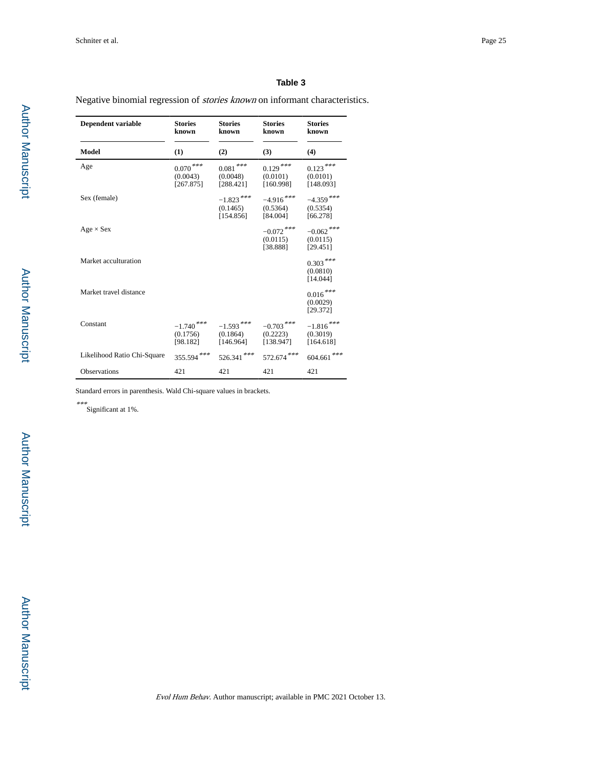#### **Table 3**

Negative binomial regression of stories known on informant characteristics.

| Dependent variable          | <b>Stories</b><br>known               | <b>Stories</b><br>known               | <b>Stories</b><br>known               | <b>Stories</b><br>known              |
|-----------------------------|---------------------------------------|---------------------------------------|---------------------------------------|--------------------------------------|
| Model                       | (1)                                   | (2)                                   | (3)                                   | (4)                                  |
| Age                         | $0.070\,***$<br>(0.0043)<br>[267.875] | $0.081\,***$<br>(0.0048)<br>[288.421] | $0.129***$<br>(0.0101)<br>[160.998]   | $0.123***$<br>(0.0101)<br>[148.093]  |
| Sex (female)                |                                       | $-1.823***$<br>(0.1465)<br>[154.856]  | $-4.916$ ***<br>(0.5364)<br>[84.004]  | $-4.359$ ***<br>(0.5354)<br>[66.278] |
| $Age \times Sex$            |                                       |                                       | $-0.072$ ***<br>(0.0115)<br>[38.888]  | $-0.062$ ***<br>(0.0115)<br>[29.451] |
| Market acculturation        |                                       |                                       |                                       | $0.303***$<br>(0.0810)<br>[14.044]   |
| Market travel distance      |                                       |                                       |                                       | $0.016***$<br>(0.0029)<br>[29.372]   |
| Constant                    | $-1.740$ ***<br>(0.1756)<br>[98.182]  | $-1.593***$<br>(0.1864)<br>[146.964]  | $-0.703$ ***<br>(0.2223)<br>[138.947] | $-1.816***$<br>(0.3019)<br>[164.618] |
| Likelihood Ratio Chi-Square | 355.594***                            | $526.341$ ***                         | $572.674$ ***                         | $604.661$ ***                        |
| <b>Observations</b>         | 421                                   | 421                                   | 421                                   | 421                                  |

Standard errors in parenthesis. Wald Chi-square values in brackets.

\*\*\* Significant at 1%.

 Author ManuscriptAuthor Manuscript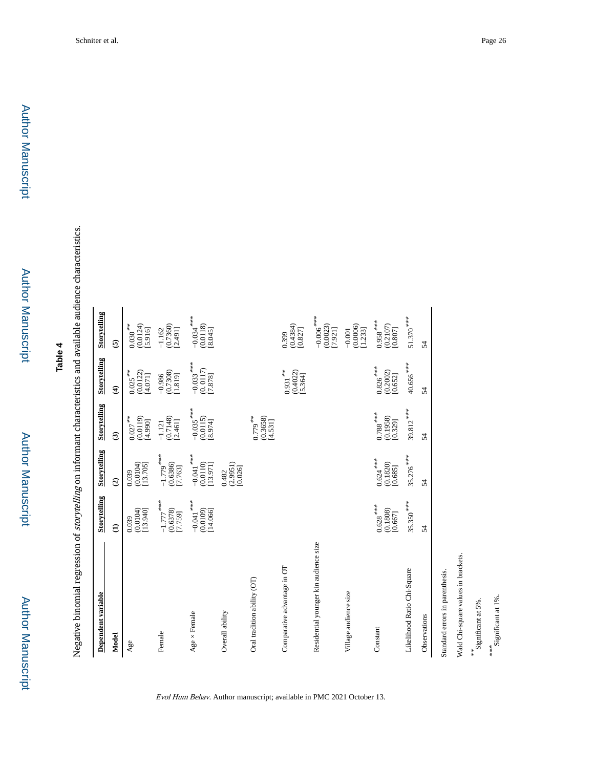Author Manuscript

Negative binomial regression of storytelling on informant characteristics and available audience characteristics. Negative binomial regression of storytelling on informant characteristics and available audience characteristics.

| Dependent variable                    | Storytelling                         | Storytelling                         | <b>Storytelling</b>                                             | Storytelling                                  | Storytelling                                   |
|---------------------------------------|--------------------------------------|--------------------------------------|-----------------------------------------------------------------|-----------------------------------------------|------------------------------------------------|
| Model                                 | $\widehat{E}$                        | $\widehat{c}$                        | $\widehat{\mathbf{c}}$                                          | $\widehat{\mathbf{t}}$                        | $\overline{6}$                                 |
| Age                                   | (0.0104)<br>[13.940]<br>0.039        | (0.0104)<br>[13.705]<br>0.039        | $0.027***$<br>(0.0119)<br>[4.990]                               | $0.025***$<br>(0.0122)<br>[4.071]             | $0.030***$<br>(0.0124)<br>[5.916]              |
| Female                                | $-1.777$ ***<br>(0.6378)<br>[7.759]  | $-1.779$ ***<br>(0.6386)<br>[7.763]  | (0.7148)<br>[2.461]<br>$-1.121$                                 | (0.7308)<br>$-0.986$<br>[1.819]               | $(0.7360)$<br>[2.491]<br>$-1.162$              |
| $Age \times Female$                   | $-0.041$ ***<br>(0.0109)<br>[14.066] | $-0.041$ ***<br>(0.0110)<br>[13.971] | $-0.035$ ***<br>(0.0115)<br>[8.974]                             | $-0.033$ ***<br>(0.0117)<br>[7.878]           | $-0.034$ <sup>***</sup><br>(0.0118)<br>[8.045] |
| Overall ability                       |                                      | (2.9951)<br>[0.026]<br>0.482         |                                                                 |                                               |                                                |
| Oral tradition ability (OT)           |                                      |                                      | $0.779***$<br>(0.3658)<br>[4.531]                               |                                               |                                                |
| Comparative advantage in OT           |                                      |                                      |                                                                 | $0.931***$<br>$(0.4022)$<br>[5.364]           | (0.4384)<br>[0.827]<br>0.399                   |
| Residential younger kin audience size |                                      |                                      |                                                                 |                                               | $-0.006$ <sup>***</sup><br>(0.0023)<br>[7.921] |
| Village audience size                 |                                      |                                      |                                                                 |                                               | (0.0006)<br>[1.233]<br>$-0.001$                |
| Constant                              | $0.628***$<br>(0.1808)<br>[0.667]    | $0.624***$<br>(0.1820)<br>[0.685]    | $0.788$ $\overset{***}{\rule{0pt}{0pt}}$<br>(0.1958)<br>[0.329] | $0.826$ <sup>***</sup><br>(0.2002)<br>[0.652] | $0.958***$<br>(0.2107)<br>[0.807]              |
| Likelihood Ratio Chi-Square           | $35.350***$                          | 35.276 ***                           | $39.812***$                                                     | 40.656 ***                                    | $51.370***$                                    |
| Observations                          | 54                                   | 54                                   | 54                                                              | 54                                            | 54                                             |
| Standard errors in parenthesis.       |                                      |                                      |                                                                 |                                               |                                                |
| Wald Chi-square values in brackets.   |                                      |                                      |                                                                 |                                               |                                                |
| Significant at 5%.<br>**              |                                      |                                      |                                                                 |                                               |                                                |

Evol Hum Behav. Author manuscript; available in PMC 2021 October 13.

Significant at 5%. \*\*\*<br>Significant at 1%. Significant at 1%.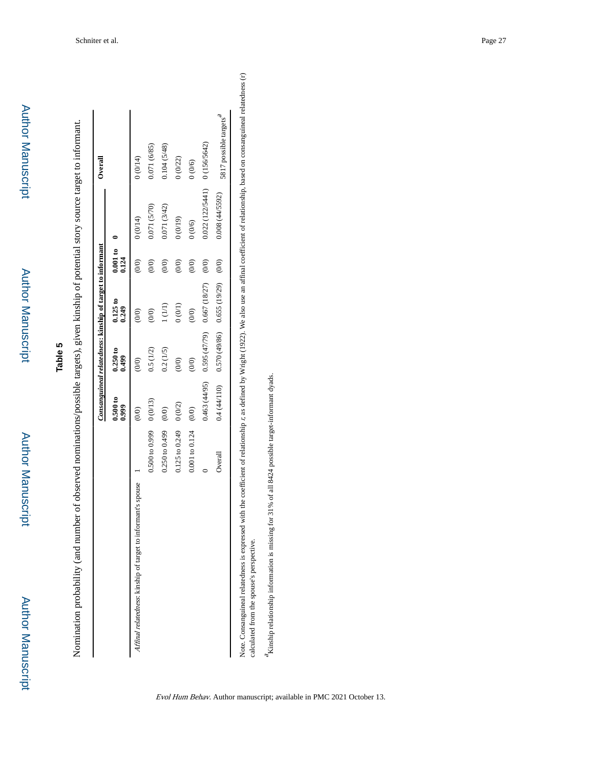| þ |
|---|
|   |
|   |
| i |
|   |
|   |
| t |
|   |
|   |
|   |
|   |
|   |
|   |
|   |
|   |
|   |
|   |
|   |
|   |
|   |
|   |

Author Manuscript

Nomination probability (and number of observed nominations/possible targets), given kinship of potential story source target to informant. Nomination probability (and number of observed nominations/possible targets), given kinship of potential story source target to informant.

|                                                                                                                                                                                                     |                                   |                         |                                              | Consanguineal relatedness: kinship of target to informant |                                                |                                | Overall                            |
|-----------------------------------------------------------------------------------------------------------------------------------------------------------------------------------------------------|-----------------------------------|-------------------------|----------------------------------------------|-----------------------------------------------------------|------------------------------------------------|--------------------------------|------------------------------------|
|                                                                                                                                                                                                     |                                   | 0.500 to<br>0.999       | 0.250 to<br>0.499                            | 0.125 to<br>0.249                                         | 0.001 to 0<br>0.124                            |                                |                                    |
| Affinal relatedness: kinship of target to informant's spouse                                                                                                                                        |                                   | $\widehat{\mathcal{O}}$ | (0,0)                                        | $\widehat{\mathcal{O}}$                                   | (0/0)                                          | 0(0/14)                        | (0(0)0)                            |
|                                                                                                                                                                                                     | $0.500 \text{ to } 0.99900(0/13)$ |                         | 0.5(1/2)                                     | $\begin{pmatrix} 0 \\ 0 \end{pmatrix}$                    | $\begin{pmatrix} 0 & 0 \\ 0 & 0 \end{pmatrix}$ | 0.071(5/70)                    | 0.71 (6/85)                        |
|                                                                                                                                                                                                     | $0.250$ to $0.499$                | (0/0)                   | 0.2(1/5)                                     | 1(1/1)                                                    | (0/0)                                          | 0.071 (3/42)                   | 0.104 (5/48)                       |
|                                                                                                                                                                                                     | $0.125$ to $0.249$                | 0(0/2)                  | (00)                                         | (1/0)                                                     | (0/0)                                          | (61/0)0                        | (0/22)                             |
|                                                                                                                                                                                                     | 0.001 to 0.124                    | (0/0)                   | (0/0)                                        | (0/0)                                                     | (0/0)                                          | 0(0/6)                         | (0/6)                              |
|                                                                                                                                                                                                     |                                   |                         | $0.463(44/95)$ $0.595(47/79)$ $0.667(18/27)$ |                                                           | (0/0)                                          | $0.022(122/5441)$ 0 (156/5642) |                                    |
|                                                                                                                                                                                                     | Overall                           |                         | $0.4(44/110)$ $0.570(49/86)$ $0.655(19/29)$  |                                                           | (0/0)                                          | 0.008(44/5592)                 | 5817 possible targets <sup>a</sup> |
| Note. Consanguineal relatedness is expressed with the coefficient of relationship r, as defined by Wright (1922). We also use an affinal coefficient of relationship, based on consanguineal relate |                                   |                         |                                              |                                                           |                                                |                                |                                    |

dness (r) Note. Consanguineal relatedness is expressed with the coefficient of relationship r, as defined by Wright (1922). We also use an affinal coefficient of relationship, based on consanguineal relatedness (r) calculated from the spouse's perspective. calculated from the spouse's perspective.

 $^4$ Kinship relationship information is missing for 31% of all 8424 possible target-informant dyads. Kinship relationship information is missing for 31% of all 8424 possible target-informant dyads.